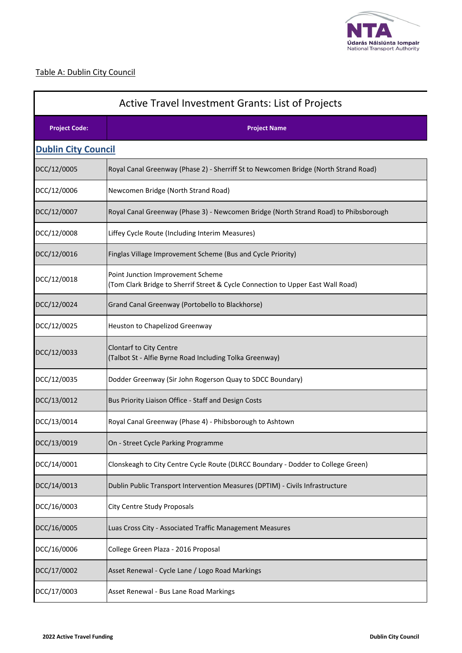

# Table A: Dublin City Council

| <b>Active Travel Investment Grants: List of Projects</b> |                                                                                                                      |  |
|----------------------------------------------------------|----------------------------------------------------------------------------------------------------------------------|--|
| <b>Project Code:</b>                                     | <b>Project Name</b>                                                                                                  |  |
| <b>Dublin City Council</b>                               |                                                                                                                      |  |
| DCC/12/0005                                              | Royal Canal Greenway (Phase 2) - Sherriff St to Newcomen Bridge (North Strand Road)                                  |  |
| DCC/12/0006                                              | Newcomen Bridge (North Strand Road)                                                                                  |  |
| DCC/12/0007                                              | Royal Canal Greenway (Phase 3) - Newcomen Bridge (North Strand Road) to Phibsborough                                 |  |
| DCC/12/0008                                              | Liffey Cycle Route (Including Interim Measures)                                                                      |  |
| DCC/12/0016                                              | Finglas Village Improvement Scheme (Bus and Cycle Priority)                                                          |  |
| DCC/12/0018                                              | Point Junction Improvement Scheme<br>(Tom Clark Bridge to Sherrif Street & Cycle Connection to Upper East Wall Road) |  |
| DCC/12/0024                                              | Grand Canal Greenway (Portobello to Blackhorse)                                                                      |  |
| DCC/12/0025                                              | Heuston to Chapelizod Greenway                                                                                       |  |
| DCC/12/0033                                              | <b>Clontarf to City Centre</b><br>(Talbot St - Alfie Byrne Road Including Tolka Greenway)                            |  |
| DCC/12/0035                                              | Dodder Greenway (Sir John Rogerson Quay to SDCC Boundary)                                                            |  |
| DCC/13/0012                                              | Bus Priority Liaison Office - Staff and Design Costs                                                                 |  |
| DCC/13/0014                                              | Royal Canal Greenway (Phase 4) - Phibsborough to Ashtown                                                             |  |
| DCC/13/0019                                              | On - Street Cycle Parking Programme                                                                                  |  |
| DCC/14/0001                                              | Clonskeagh to City Centre Cycle Route (DLRCC Boundary - Dodder to College Green)                                     |  |
| DCC/14/0013                                              | Dublin Public Transport Intervention Measures (DPTIM) - Civils Infrastructure                                        |  |
| DCC/16/0003                                              | City Centre Study Proposals                                                                                          |  |
| DCC/16/0005                                              | Luas Cross City - Associated Traffic Management Measures                                                             |  |
| DCC/16/0006                                              | College Green Plaza - 2016 Proposal                                                                                  |  |
| DCC/17/0002                                              | Asset Renewal - Cycle Lane / Logo Road Markings                                                                      |  |
| DCC/17/0003                                              | Asset Renewal - Bus Lane Road Markings                                                                               |  |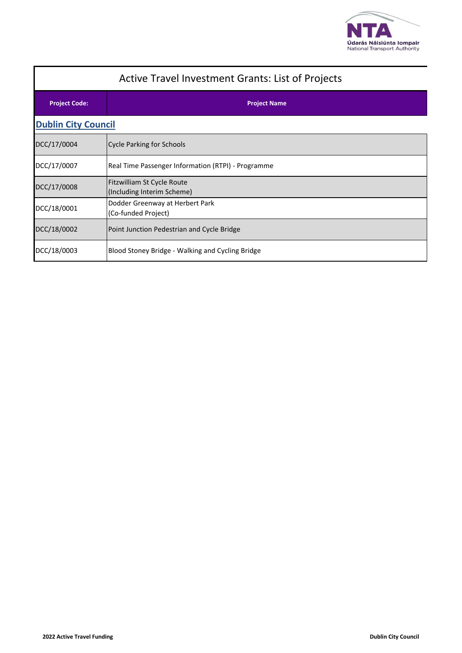

| <b>Active Travel Investment Grants: List of Projects</b> |                                                          |  |
|----------------------------------------------------------|----------------------------------------------------------|--|
| <b>Project Code:</b>                                     | <b>Project Name</b>                                      |  |
| <b>Dublin City Council</b>                               |                                                          |  |
| DCC/17/0004                                              | <b>Cycle Parking for Schools</b>                         |  |
| DCC/17/0007                                              | Real Time Passenger Information (RTPI) - Programme       |  |
| DCC/17/0008                                              | Fitzwilliam St Cycle Route<br>(Including Interim Scheme) |  |
| DCC/18/0001                                              | Dodder Greenway at Herbert Park<br>(Co-funded Project)   |  |
| DCC/18/0002                                              | Point Junction Pedestrian and Cycle Bridge               |  |
| DCC/18/0003                                              | Blood Stoney Bridge - Walking and Cycling Bridge         |  |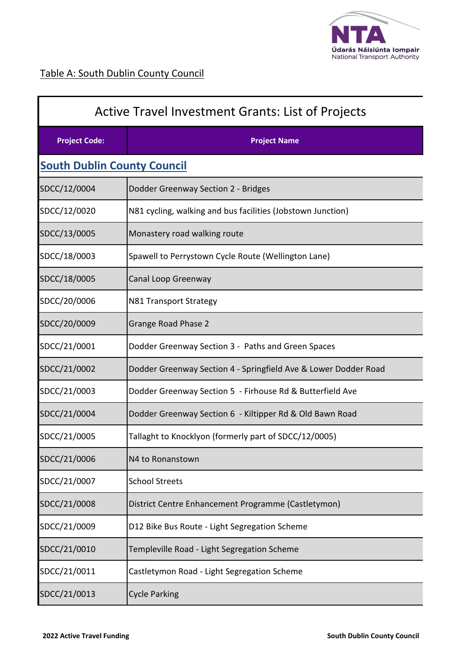

| Active Travel Investment Grants: List of Projects |                                                                 |  |
|---------------------------------------------------|-----------------------------------------------------------------|--|
| <b>Project Code:</b>                              | <b>Project Name</b>                                             |  |
| <b>South Dublin County Council</b>                |                                                                 |  |
| SDCC/12/0004                                      | Dodder Greenway Section 2 - Bridges                             |  |
| SDCC/12/0020                                      | N81 cycling, walking and bus facilities (Jobstown Junction)     |  |
| SDCC/13/0005                                      | Monastery road walking route                                    |  |
| SDCC/18/0003                                      | Spawell to Perrystown Cycle Route (Wellington Lane)             |  |
| SDCC/18/0005                                      | Canal Loop Greenway                                             |  |
| SDCC/20/0006                                      | N81 Transport Strategy                                          |  |
| SDCC/20/0009                                      | <b>Grange Road Phase 2</b>                                      |  |
| SDCC/21/0001                                      | Dodder Greenway Section 3 - Paths and Green Spaces              |  |
| SDCC/21/0002                                      | Dodder Greenway Section 4 - Springfield Ave & Lower Dodder Road |  |
| SDCC/21/0003                                      | Dodder Greenway Section 5 - Firhouse Rd & Butterfield Ave       |  |
| SDCC/21/0004                                      | Dodder Greenway Section 6 - Kiltipper Rd & Old Bawn Road        |  |
| SDCC/21/0005                                      | Tallaght to Knocklyon (formerly part of SDCC/12/0005)           |  |
| SDCC/21/0006                                      | N4 to Ronanstown                                                |  |
| SDCC/21/0007                                      | <b>School Streets</b>                                           |  |
| SDCC/21/0008                                      | District Centre Enhancement Programme (Castletymon)             |  |
| SDCC/21/0009                                      | D12 Bike Bus Route - Light Segregation Scheme                   |  |
| SDCC/21/0010                                      | Templeville Road - Light Segregation Scheme                     |  |
| SDCC/21/0011                                      | Castletymon Road - Light Segregation Scheme                     |  |
| SDCC/21/0013                                      | <b>Cycle Parking</b>                                            |  |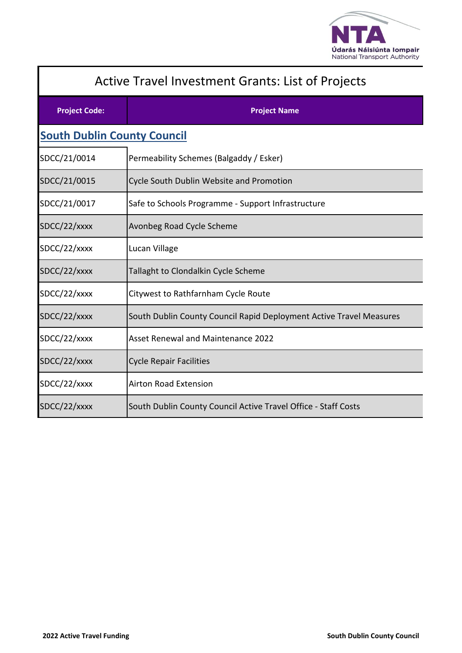

| <b>Active Travel Investment Grants: List of Projects</b> |                                                                     |  |  |
|----------------------------------------------------------|---------------------------------------------------------------------|--|--|
| <b>Project Code:</b>                                     | <b>Project Name</b>                                                 |  |  |
|                                                          | <b>South Dublin County Council</b>                                  |  |  |
| SDCC/21/0014                                             | Permeability Schemes (Balgaddy / Esker)                             |  |  |
| SDCC/21/0015                                             | Cycle South Dublin Website and Promotion                            |  |  |
| SDCC/21/0017                                             | Safe to Schools Programme - Support Infrastructure                  |  |  |
| SDCC/22/xxxx                                             | Avonbeg Road Cycle Scheme                                           |  |  |
| SDCC/22/xxxx                                             | Lucan Village                                                       |  |  |
| SDCC/22/xxxx                                             | Tallaght to Clondalkin Cycle Scheme                                 |  |  |
| SDCC/22/xxxx                                             | Citywest to Rathfarnham Cycle Route                                 |  |  |
| SDCC/22/xxxx                                             | South Dublin County Council Rapid Deployment Active Travel Measures |  |  |
| SDCC/22/xxxx                                             | <b>Asset Renewal and Maintenance 2022</b>                           |  |  |
| SDCC/22/xxxx                                             | <b>Cycle Repair Facilities</b>                                      |  |  |
| SDCC/22/xxxx                                             | <b>Airton Road Extension</b>                                        |  |  |
| SDCC/22/xxxx                                             | South Dublin County Council Active Travel Office - Staff Costs      |  |  |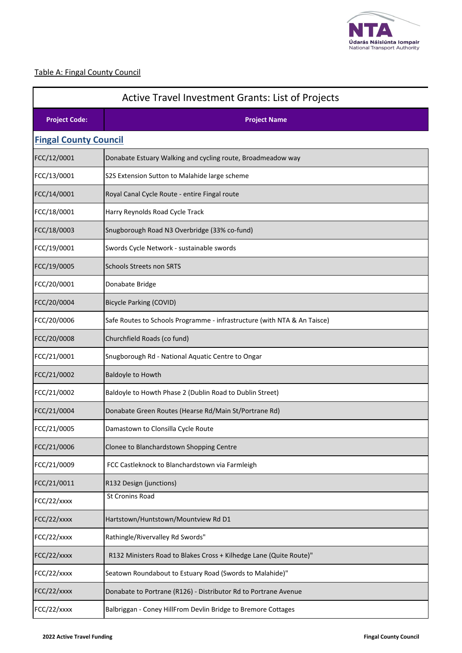

# Table A: Fingal County Council

| <b>Active Travel Investment Grants: List of Projects</b> |                                                                          |  |
|----------------------------------------------------------|--------------------------------------------------------------------------|--|
| <b>Project Code:</b>                                     | <b>Project Name</b>                                                      |  |
| <b>Fingal County Council</b>                             |                                                                          |  |
| FCC/12/0001                                              | Donabate Estuary Walking and cycling route, Broadmeadow way              |  |
| FCC/13/0001                                              | S2S Extension Sutton to Malahide large scheme                            |  |
| FCC/14/0001                                              | Royal Canal Cycle Route - entire Fingal route                            |  |
| FCC/18/0001                                              | Harry Reynolds Road Cycle Track                                          |  |
| FCC/18/0003                                              | Snugborough Road N3 Overbridge (33% co-fund)                             |  |
| FCC/19/0001                                              | Swords Cycle Network - sustainable swords                                |  |
| FCC/19/0005                                              | <b>Schools Streets non SRTS</b>                                          |  |
| FCC/20/0001                                              | Donabate Bridge                                                          |  |
| FCC/20/0004                                              | <b>Bicycle Parking (COVID)</b>                                           |  |
| FCC/20/0006                                              | Safe Routes to Schools Programme - infrastructure (with NTA & An Taisce) |  |
| FCC/20/0008                                              | Churchfield Roads (co fund)                                              |  |
| FCC/21/0001                                              | Snugborough Rd - National Aquatic Centre to Ongar                        |  |
| FCC/21/0002                                              | Baldoyle to Howth                                                        |  |
| FCC/21/0002                                              | Baldoyle to Howth Phase 2 (Dublin Road to Dublin Street)                 |  |
| FCC/21/0004                                              | Donabate Green Routes (Hearse Rd/Main St/Portrane Rd)                    |  |
| FCC/21/0005                                              | Damastown to Clonsilla Cycle Route                                       |  |
| FCC/21/0006                                              | Clonee to Blanchardstown Shopping Centre                                 |  |
| FCC/21/0009                                              | FCC Castleknock to Blanchardstown via Farmleigh                          |  |
| FCC/21/0011                                              | R132 Design (junctions)                                                  |  |
| FCC/22/xxxx                                              | <b>St Cronins Road</b>                                                   |  |
| FCC/22/xxxx                                              | Hartstown/Huntstown/Mountview Rd D1                                      |  |
| FCC/22/xxxx                                              | Rathingle/Rivervalley Rd Swords"                                         |  |
| FCC/22/xxxx                                              | R132 Ministers Road to Blakes Cross + Kilhedge Lane (Quite Route)"       |  |
| FCC/22/xxxx                                              | Seatown Roundabout to Estuary Road (Swords to Malahide)"                 |  |
| FCC/22/xxxx                                              | Donabate to Portrane (R126) - Distributor Rd to Portrane Avenue          |  |
| FCC/22/xxxx                                              | Balbriggan - Coney HillFrom Devlin Bridge to Bremore Cottages            |  |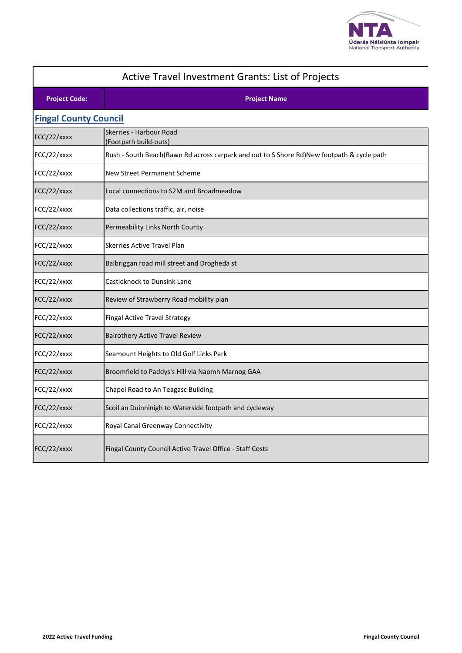

| <b>Active Travel Investment Grants: List of Projects</b> |                                                                                           |  |
|----------------------------------------------------------|-------------------------------------------------------------------------------------------|--|
| <b>Project Code:</b>                                     | <b>Project Name</b>                                                                       |  |
| <b>Fingal County Council</b>                             |                                                                                           |  |
| FCC/22/xxxx                                              | Skerries - Harbour Road<br>(Footpath build-outs)                                          |  |
| FCC/22/xxxx                                              | Rush - South Beach(Bawn Rd across carpark and out to S Shore Rd)New footpath & cycle path |  |
| FCC/22/xxxx                                              | <b>New Street Permanent Scheme</b>                                                        |  |
| FCC/22/xxxx                                              | Local connections to S2M and Broadmeadow                                                  |  |
| FCC/22/xxxx                                              | Data collections traffic, air, noise                                                      |  |
| FCC/22/xxxx                                              | Permeability Links North County                                                           |  |
| FCC/22/xxxx                                              | <b>Skerries Active Travel Plan</b>                                                        |  |
| FCC/22/xxxx                                              | Balbriggan road mill street and Drogheda st                                               |  |
| FCC/22/xxxx                                              | <b>Castleknock to Dunsink Lane</b>                                                        |  |
| FCC/22/xxxx                                              | Review of Strawberry Road mobility plan                                                   |  |
| FCC/22/xxxx                                              | Fingal Active Travel Strategy                                                             |  |
| FCC/22/xxxx                                              | <b>Balrothery Active Travel Review</b>                                                    |  |
| FCC/22/xxxx                                              | Seamount Heights to Old Golf Links Park                                                   |  |
| FCC/22/xxxx                                              | Broomfield to Paddys's Hill via Naomh Marnog GAA                                          |  |
| FCC/22/xxxx                                              | Chapel Road to An Teagasc Building                                                        |  |
| FCC/22/xxxx                                              | Scoil an Duinninigh to Waterside footpath and cycleway                                    |  |
| FCC/22/xxxx                                              | Royal Canal Greenway Connectivity                                                         |  |
| FCC/22/xxxx                                              | Fingal County Council Active Travel Office - Staff Costs                                  |  |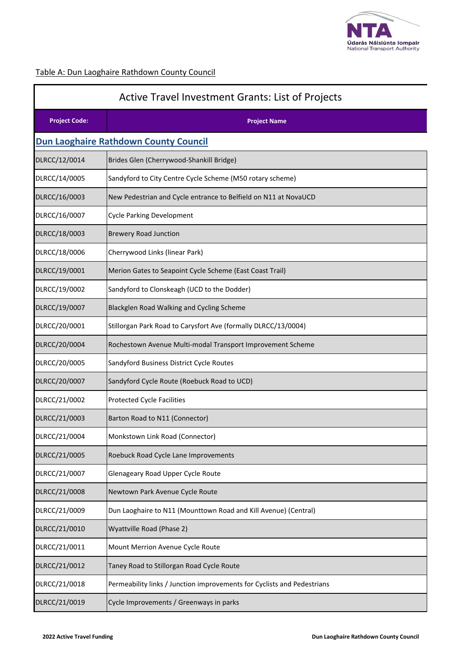

# Table A: Dun Laoghaire Rathdown County Council

| Active Travel Investment Grants: List of Projects |                                                                         |  |
|---------------------------------------------------|-------------------------------------------------------------------------|--|
| <b>Project Code:</b>                              | <b>Project Name</b>                                                     |  |
|                                                   | <b>Dun Laoghaire Rathdown County Council</b>                            |  |
| DLRCC/12/0014                                     | Brides Glen (Cherrywood-Shankill Bridge)                                |  |
| DLRCC/14/0005                                     | Sandyford to City Centre Cycle Scheme (M50 rotary scheme)               |  |
| DLRCC/16/0003                                     | New Pedestrian and Cycle entrance to Belfield on N11 at NovaUCD         |  |
| DLRCC/16/0007                                     | <b>Cycle Parking Development</b>                                        |  |
| DLRCC/18/0003                                     | <b>Brewery Road Junction</b>                                            |  |
| DLRCC/18/0006                                     | Cherrywood Links (linear Park)                                          |  |
| DLRCC/19/0001                                     | Merion Gates to Seapoint Cycle Scheme (East Coast Trail)                |  |
| DLRCC/19/0002                                     | Sandyford to Clonskeagh (UCD to the Dodder)                             |  |
| DLRCC/19/0007                                     | Blackglen Road Walking and Cycling Scheme                               |  |
| DLRCC/20/0001                                     | Stillorgan Park Road to Carysfort Ave (formally DLRCC/13/0004)          |  |
| DLRCC/20/0004                                     | Rochestown Avenue Multi-modal Transport Improvement Scheme              |  |
| DLRCC/20/0005                                     | Sandyford Business District Cycle Routes                                |  |
| DLRCC/20/0007                                     | Sandyford Cycle Route (Roebuck Road to UCD)                             |  |
| DLRCC/21/0002                                     | <b>Protected Cycle Facilities</b>                                       |  |
| DLRCC/21/0003                                     | Barton Road to N11 (Connector)                                          |  |
| DLRCC/21/0004                                     | Monkstown Link Road (Connector)                                         |  |
| DLRCC/21/0005                                     | Roebuck Road Cycle Lane Improvements                                    |  |
| DLRCC/21/0007                                     | Glenageary Road Upper Cycle Route                                       |  |
| DLRCC/21/0008                                     | Newtown Park Avenue Cycle Route                                         |  |
| DLRCC/21/0009                                     | Dun Laoghaire to N11 (Mounttown Road and Kill Avenue) (Central)         |  |
| DLRCC/21/0010                                     | Wyattville Road (Phase 2)                                               |  |
| DLRCC/21/0011                                     | Mount Merrion Avenue Cycle Route                                        |  |
| DLRCC/21/0012                                     | Taney Road to Stillorgan Road Cycle Route                               |  |
| DLRCC/21/0018                                     | Permeability links / Junction improvements for Cyclists and Pedestrians |  |
| DLRCC/21/0019                                     | Cycle Improvements / Greenways in parks                                 |  |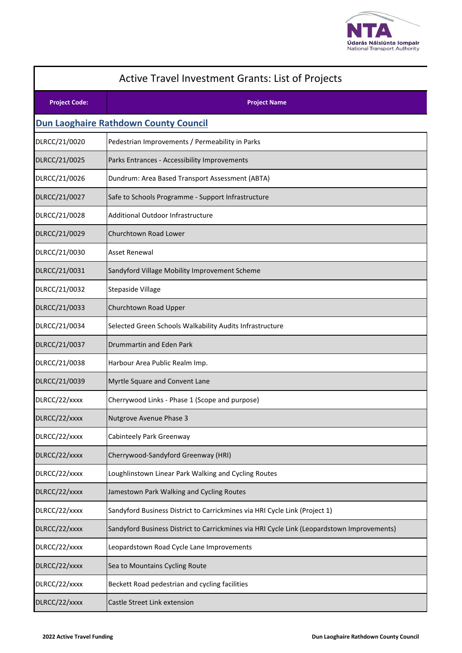

| Active Travel Investment Grants: List of Projects |                                                                                            |
|---------------------------------------------------|--------------------------------------------------------------------------------------------|
| <b>Project Code:</b>                              | <b>Project Name</b>                                                                        |
|                                                   | <b>Dun Laoghaire Rathdown County Council</b>                                               |
| DLRCC/21/0020                                     | Pedestrian Improvements / Permeability in Parks                                            |
| DLRCC/21/0025                                     | Parks Entrances - Accessibility Improvements                                               |
| DLRCC/21/0026                                     | Dundrum: Area Based Transport Assessment (ABTA)                                            |
| DLRCC/21/0027                                     | Safe to Schools Programme - Support Infrastructure                                         |
| DLRCC/21/0028                                     | Additional Outdoor Infrastructure                                                          |
| DLRCC/21/0029                                     | Churchtown Road Lower                                                                      |
| DLRCC/21/0030                                     | Asset Renewal                                                                              |
| DLRCC/21/0031                                     | Sandyford Village Mobility Improvement Scheme                                              |
| DLRCC/21/0032                                     | Stepaside Village                                                                          |
| DLRCC/21/0033                                     | Churchtown Road Upper                                                                      |
| DLRCC/21/0034                                     | Selected Green Schools Walkability Audits Infrastructure                                   |
| DLRCC/21/0037                                     | Drummartin and Eden Park                                                                   |
| DLRCC/21/0038                                     | Harbour Area Public Realm Imp.                                                             |
| DLRCC/21/0039                                     | Myrtle Square and Convent Lane                                                             |
| DLRCC/22/xxxx                                     | Cherrywood Links - Phase 1 (Scope and purpose)                                             |
| DLRCC/22/xxxx                                     | Nutgrove Avenue Phase 3                                                                    |
| DLRCC/22/xxxx                                     | Cabinteely Park Greenway                                                                   |
| DLRCC/22/xxxx                                     | Cherrywood-Sandyford Greenway (HRI)                                                        |
| DLRCC/22/xxxx                                     | Loughlinstown Linear Park Walking and Cycling Routes                                       |
| DLRCC/22/xxxx                                     | Jamestown Park Walking and Cycling Routes                                                  |
| DLRCC/22/xxxx                                     | Sandyford Business District to Carrickmines via HRI Cycle Link (Project 1)                 |
| DLRCC/22/xxxx                                     | Sandyford Business District to Carrickmines via HRI Cycle Link (Leopardstown Improvements) |
| DLRCC/22/xxxx                                     | Leopardstown Road Cycle Lane Improvements                                                  |
| DLRCC/22/xxxx                                     | Sea to Mountains Cycling Route                                                             |
| DLRCC/22/xxxx                                     | Beckett Road pedestrian and cycling facilities                                             |
| DLRCC/22/xxxx                                     | Castle Street Link extension                                                               |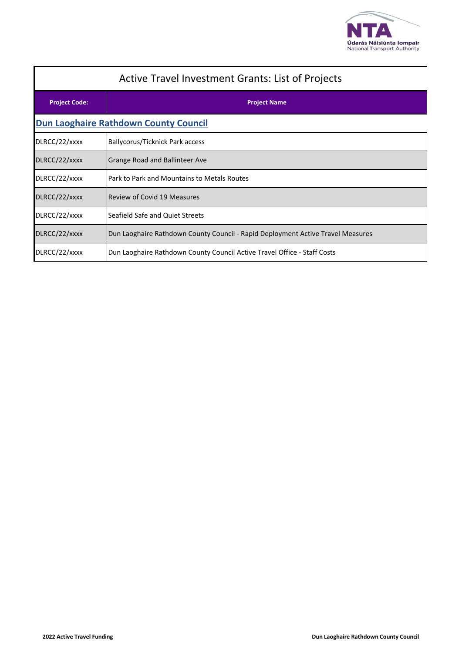

| <b>Active Travel Investment Grants: List of Projects</b> |                                                                                 |  |
|----------------------------------------------------------|---------------------------------------------------------------------------------|--|
| <b>Project Code:</b>                                     | <b>Project Name</b>                                                             |  |
| <b>Dun Laoghaire Rathdown County Council</b>             |                                                                                 |  |
| DLRCC/22/xxxx                                            | Ballycorus/Ticknick Park access                                                 |  |
| DLRCC/22/xxxx                                            | Grange Road and Ballinteer Ave                                                  |  |
| DLRCC/22/xxxx                                            | Park to Park and Mountains to Metals Routes                                     |  |
| DLRCC/22/xxxx                                            | <b>Review of Covid 19 Measures</b>                                              |  |
| DLRCC/22/xxxx                                            | Seafield Safe and Quiet Streets                                                 |  |
| DLRCC/22/xxxx                                            | Dun Laoghaire Rathdown County Council - Rapid Deployment Active Travel Measures |  |
| DLRCC/22/xxxx                                            | Dun Laoghaire Rathdown County Council Active Travel Office - Staff Costs        |  |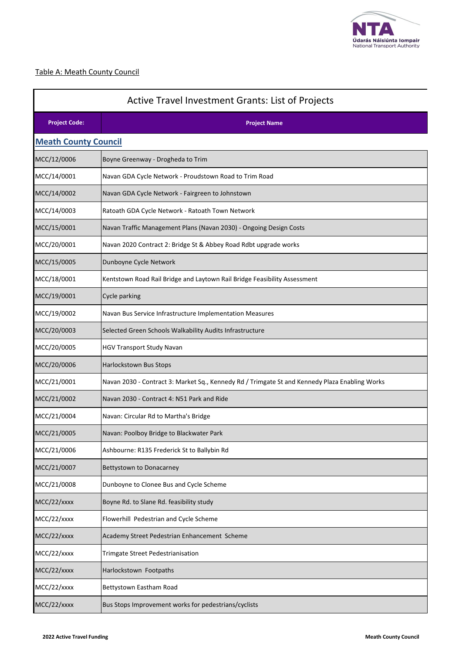

### Table A: Meath County Council

| <b>Active Travel Investment Grants: List of Projects</b> |                                                                                                |  |
|----------------------------------------------------------|------------------------------------------------------------------------------------------------|--|
| <b>Project Code:</b>                                     | <b>Project Name</b>                                                                            |  |
| <b>Meath County Council</b>                              |                                                                                                |  |
| MCC/12/0006                                              | Boyne Greenway - Drogheda to Trim                                                              |  |
| MCC/14/0001                                              | Navan GDA Cycle Network - Proudstown Road to Trim Road                                         |  |
| MCC/14/0002                                              | Navan GDA Cycle Network - Fairgreen to Johnstown                                               |  |
| MCC/14/0003                                              | Ratoath GDA Cycle Network - Ratoath Town Network                                               |  |
| MCC/15/0001                                              | Navan Traffic Management Plans (Navan 2030) - Ongoing Design Costs                             |  |
| MCC/20/0001                                              | Navan 2020 Contract 2: Bridge St & Abbey Road Rdbt upgrade works                               |  |
| MCC/15/0005                                              | Dunboyne Cycle Network                                                                         |  |
| MCC/18/0001                                              | Kentstown Road Rail Bridge and Laytown Rail Bridge Feasibility Assessment                      |  |
| MCC/19/0001                                              | <b>Cycle parking</b>                                                                           |  |
| MCC/19/0002                                              | Navan Bus Service Infrastructure Implementation Measures                                       |  |
| MCC/20/0003                                              | Selected Green Schools Walkability Audits Infrastructure                                       |  |
| MCC/20/0005                                              | HGV Transport Study Navan                                                                      |  |
| MCC/20/0006                                              | <b>Harlockstown Bus Stops</b>                                                                  |  |
| MCC/21/0001                                              | Navan 2030 - Contract 3: Market Sq., Kennedy Rd / Trimgate St and Kennedy Plaza Enabling Works |  |
| MCC/21/0002                                              | Navan 2030 - Contract 4: N51 Park and Ride                                                     |  |
| MCC/21/0004                                              | Navan: Circular Rd to Martha's Bridge                                                          |  |
| MCC/21/0005                                              | Navan: Poolboy Bridge to Blackwater Park                                                       |  |
| MCC/21/0006                                              | Ashbourne: R135 Frederick St to Ballybin Rd                                                    |  |
| MCC/21/0007                                              | Bettystown to Donacarney                                                                       |  |
| MCC/21/0008                                              | Dunboyne to Clonee Bus and Cycle Scheme                                                        |  |
| MCC/22/xxxx                                              | Boyne Rd. to Slane Rd. feasibility study                                                       |  |
| MCC/22/xxxx                                              | Flowerhill Pedestrian and Cycle Scheme                                                         |  |
| MCC/22/xxxx                                              | Academy Street Pedestrian Enhancement Scheme                                                   |  |
| MCC/22/xxxx                                              | Trimgate Street Pedestrianisation                                                              |  |
| MCC/22/xxxx                                              | Harlockstown Footpaths                                                                         |  |
| MCC/22/xxxx                                              | Bettystown Eastham Road                                                                        |  |
| MCC/22/xxxx                                              | Bus Stops Improvement works for pedestrians/cyclists                                           |  |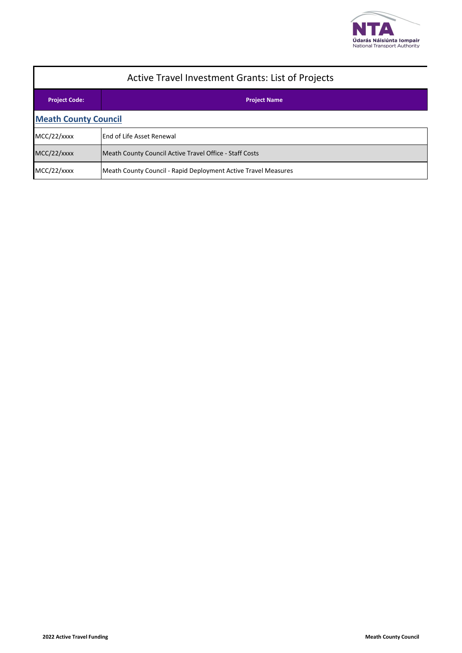

| <b>Active Travel Investment Grants: List of Projects</b> |                                                                |  |
|----------------------------------------------------------|----------------------------------------------------------------|--|
| <b>Project Code:</b>                                     | <b>Project Name</b>                                            |  |
| <b>Meath County Council</b>                              |                                                                |  |
| MCC/22/xxxx                                              | <b>End of Life Asset Renewal</b>                               |  |
| MCC/22/xxxx                                              | Meath County Council Active Travel Office - Staff Costs        |  |
| MCC/22/xxxx                                              | Meath County Council - Rapid Deployment Active Travel Measures |  |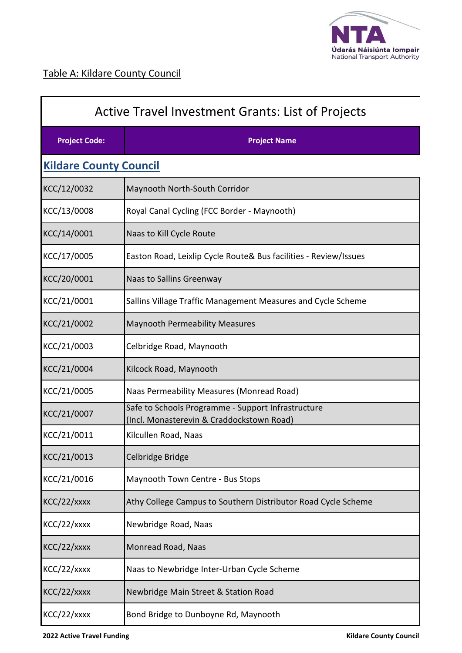

П

| <b>Active Travel Investment Grants: List of Projects</b> |                                                                                                 |  |
|----------------------------------------------------------|-------------------------------------------------------------------------------------------------|--|
| <b>Project Code:</b>                                     | <b>Project Name</b>                                                                             |  |
| <b>Kildare County Council</b>                            |                                                                                                 |  |
| KCC/12/0032                                              | Maynooth North-South Corridor                                                                   |  |
| KCC/13/0008                                              | Royal Canal Cycling (FCC Border - Maynooth)                                                     |  |
| KCC/14/0001                                              | Naas to Kill Cycle Route                                                                        |  |
| KCC/17/0005                                              | Easton Road, Leixlip Cycle Route& Bus facilities - Review/Issues                                |  |
| KCC/20/0001                                              | Naas to Sallins Greenway                                                                        |  |
| KCC/21/0001                                              | Sallins Village Traffic Management Measures and Cycle Scheme                                    |  |
| KCC/21/0002                                              | <b>Maynooth Permeability Measures</b>                                                           |  |
| KCC/21/0003                                              | Celbridge Road, Maynooth                                                                        |  |
| KCC/21/0004                                              | Kilcock Road, Maynooth                                                                          |  |
| KCC/21/0005                                              | Naas Permeability Measures (Monread Road)                                                       |  |
| KCC/21/0007                                              | Safe to Schools Programme - Support Infrastructure<br>(Incl. Monasterevin & Craddockstown Road) |  |
| KCC/21/0011                                              | Kilcullen Road, Naas                                                                            |  |
| KCC/21/0013                                              | Celbridge Bridge                                                                                |  |
| KCC/21/0016                                              | Maynooth Town Centre - Bus Stops                                                                |  |
| KCC/22/xxxx                                              | Athy College Campus to Southern Distributor Road Cycle Scheme                                   |  |
| KCC/22/xxxx                                              | Newbridge Road, Naas                                                                            |  |
| KCC/22/xxxx                                              | Monread Road, Naas                                                                              |  |
| KCC/22/xxxx                                              | Naas to Newbridge Inter-Urban Cycle Scheme                                                      |  |
| KCC/22/xxxx                                              | Newbridge Main Street & Station Road                                                            |  |
| KCC/22/xxxx                                              | Bond Bridge to Dunboyne Rd, Maynooth                                                            |  |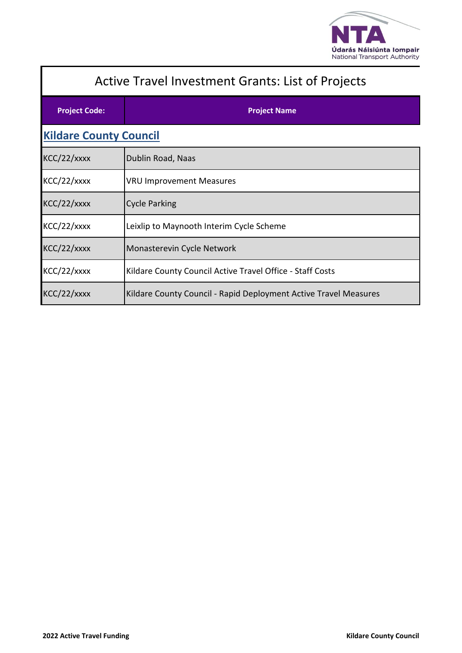

| <b>Active Travel Investment Grants: List of Projects</b> |                                                                  |  |
|----------------------------------------------------------|------------------------------------------------------------------|--|
| <b>Project Code:</b>                                     | <b>Project Name</b>                                              |  |
| <b>Kildare County Council</b>                            |                                                                  |  |
| KCC/22/xxxx                                              | Dublin Road, Naas                                                |  |
| KCC/22/xxxx                                              | <b>VRU Improvement Measures</b>                                  |  |
| KCC/22/xxxx                                              | <b>Cycle Parking</b>                                             |  |
| KCC/22/xxxx                                              | Leixlip to Maynooth Interim Cycle Scheme                         |  |
| KCC/22/xxxx                                              | Monasterevin Cycle Network                                       |  |
| KCC/22/xxxx                                              | Kildare County Council Active Travel Office - Staff Costs        |  |
| KCC/22/xxxx                                              | Kildare County Council - Rapid Deployment Active Travel Measures |  |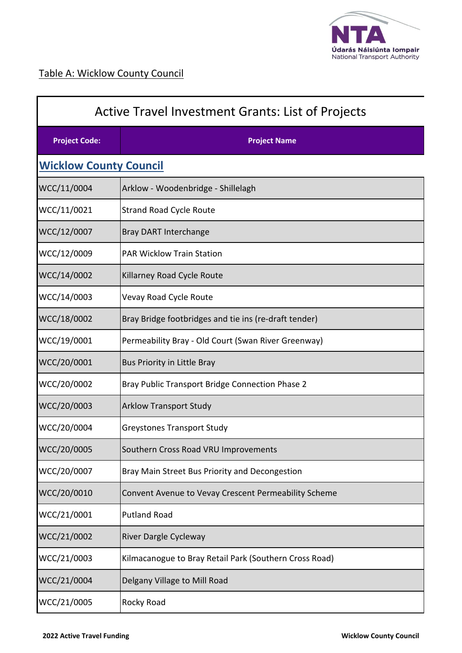

| <b>Active Travel Investment Grants: List of Projects</b> |                                                        |  |
|----------------------------------------------------------|--------------------------------------------------------|--|
| <b>Project Code:</b>                                     | <b>Project Name</b>                                    |  |
| <b>Wicklow County Council</b>                            |                                                        |  |
| WCC/11/0004                                              | Arklow - Woodenbridge - Shillelagh                     |  |
| WCC/11/0021                                              | <b>Strand Road Cycle Route</b>                         |  |
| WCC/12/0007                                              | <b>Bray DART Interchange</b>                           |  |
| WCC/12/0009                                              | <b>PAR Wicklow Train Station</b>                       |  |
| WCC/14/0002                                              | Killarney Road Cycle Route                             |  |
| WCC/14/0003                                              | Vevay Road Cycle Route                                 |  |
| WCC/18/0002                                              | Bray Bridge footbridges and tie ins (re-draft tender)  |  |
| WCC/19/0001                                              | Permeability Bray - Old Court (Swan River Greenway)    |  |
| WCC/20/0001                                              | Bus Priority in Little Bray                            |  |
| WCC/20/0002                                              | Bray Public Transport Bridge Connection Phase 2        |  |
| WCC/20/0003                                              | <b>Arklow Transport Study</b>                          |  |
| WCC/20/0004                                              | Greystones Transport Study                             |  |
| WCC/20/0005                                              | Southern Cross Road VRU Improvements                   |  |
| WCC/20/0007                                              | Bray Main Street Bus Priority and Decongestion         |  |
| WCC/20/0010                                              | Convent Avenue to Vevay Crescent Permeability Scheme   |  |
| WCC/21/0001                                              | <b>Putland Road</b>                                    |  |
| WCC/21/0002                                              | River Dargle Cycleway                                  |  |
| WCC/21/0003                                              | Kilmacanogue to Bray Retail Park (Southern Cross Road) |  |
| WCC/21/0004                                              | Delgany Village to Mill Road                           |  |
| WCC/21/0005                                              | Rocky Road                                             |  |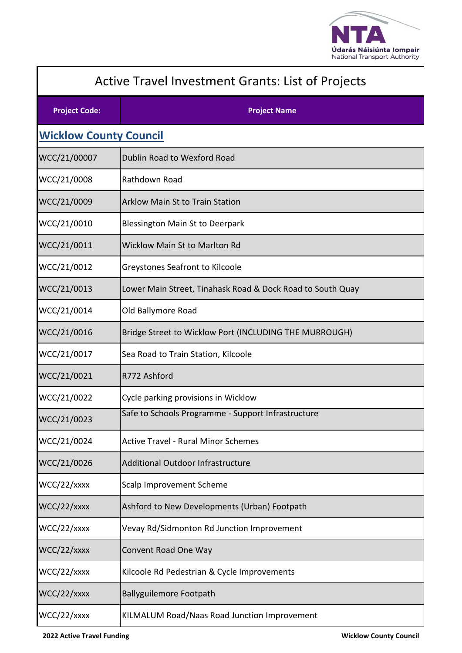

| <b>Active Travel Investment Grants: List of Projects</b> |                                                            |  |
|----------------------------------------------------------|------------------------------------------------------------|--|
| <b>Project Code:</b>                                     | <b>Project Name</b>                                        |  |
| <b>Wicklow County Council</b>                            |                                                            |  |
| WCC/21/00007                                             | Dublin Road to Wexford Road                                |  |
| WCC/21/0008                                              | Rathdown Road                                              |  |
| WCC/21/0009                                              | <b>Arklow Main St to Train Station</b>                     |  |
| WCC/21/0010                                              | <b>Blessington Main St to Deerpark</b>                     |  |
| WCC/21/0011                                              | <b>Wicklow Main St to Marlton Rd</b>                       |  |
| WCC/21/0012                                              | <b>Greystones Seafront to Kilcoole</b>                     |  |
| WCC/21/0013                                              | Lower Main Street, Tinahask Road & Dock Road to South Quay |  |
| WCC/21/0014                                              | Old Ballymore Road                                         |  |
| WCC/21/0016                                              | Bridge Street to Wicklow Port (INCLUDING THE MURROUGH)     |  |
| WCC/21/0017                                              | Sea Road to Train Station, Kilcoole                        |  |
| WCC/21/0021                                              | R772 Ashford                                               |  |
| WCC/21/0022                                              | Cycle parking provisions in Wicklow                        |  |
| WCC/21/0023                                              | Safe to Schools Programme - Support Infrastructure         |  |
| WCC/21/0024                                              | <b>Active Travel - Rural Minor Schemes</b>                 |  |
| WCC/21/0026                                              | <b>Additional Outdoor Infrastructure</b>                   |  |
| WCC/22/xxxx                                              | Scalp Improvement Scheme                                   |  |
| WCC/22/xxxx                                              | Ashford to New Developments (Urban) Footpath               |  |
| WCC/22/xxxx                                              | Vevay Rd/Sidmonton Rd Junction Improvement                 |  |
| WCC/22/xxxx                                              | Convent Road One Way                                       |  |
| WCC/22/xxxx                                              | Kilcoole Rd Pedestrian & Cycle Improvements                |  |
| WCC/22/xxxx                                              | <b>Ballyguilemore Footpath</b>                             |  |
| WCC/22/xxxx                                              | KILMALUM Road/Naas Road Junction Improvement               |  |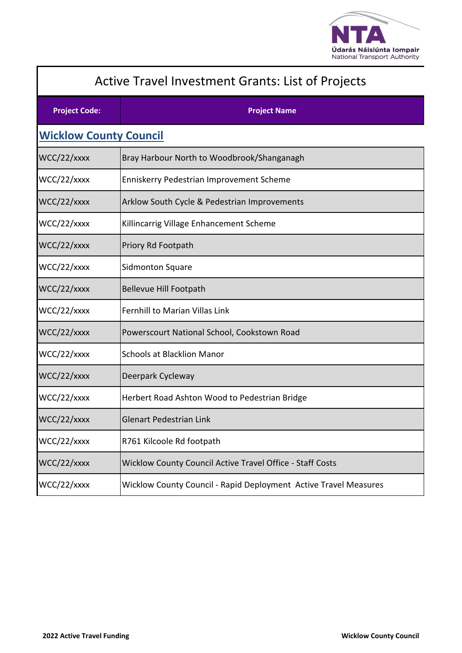

| Active Travel Investment Grants: List of Projects |                                                                  |  |
|---------------------------------------------------|------------------------------------------------------------------|--|
| <b>Project Code:</b>                              | <b>Project Name</b>                                              |  |
| <b>Wicklow County Council</b>                     |                                                                  |  |
| WCC/22/xxxx                                       | Bray Harbour North to Woodbrook/Shanganagh                       |  |
| WCC/22/xxxx                                       | Enniskerry Pedestrian Improvement Scheme                         |  |
| WCC/22/xxxx                                       | Arklow South Cycle & Pedestrian Improvements                     |  |
| WCC/22/xxxx                                       | Killincarrig Village Enhancement Scheme                          |  |
| WCC/22/xxxx                                       | Priory Rd Footpath                                               |  |
| WCC/22/xxxx                                       | <b>Sidmonton Square</b>                                          |  |
| WCC/22/xxxx                                       | <b>Bellevue Hill Footpath</b>                                    |  |
| WCC/22/xxxx                                       | <b>Fernhill to Marian Villas Link</b>                            |  |
| WCC/22/xxxx                                       | Powerscourt National School, Cookstown Road                      |  |
| WCC/22/xxxx                                       | <b>Schools at Blacklion Manor</b>                                |  |
| WCC/22/xxxx                                       | Deerpark Cycleway                                                |  |
| WCC/22/xxxx                                       | Herbert Road Ashton Wood to Pedestrian Bridge                    |  |
| WCC/22/xxxx                                       | <b>Glenart Pedestrian Link</b>                                   |  |
| WCC/22/xxxx                                       | R761 Kilcoole Rd footpath                                        |  |
| WCC/22/xxxx                                       | Wicklow County Council Active Travel Office - Staff Costs        |  |
| WCC/22/xxxx                                       | Wicklow County Council - Rapid Deployment Active Travel Measures |  |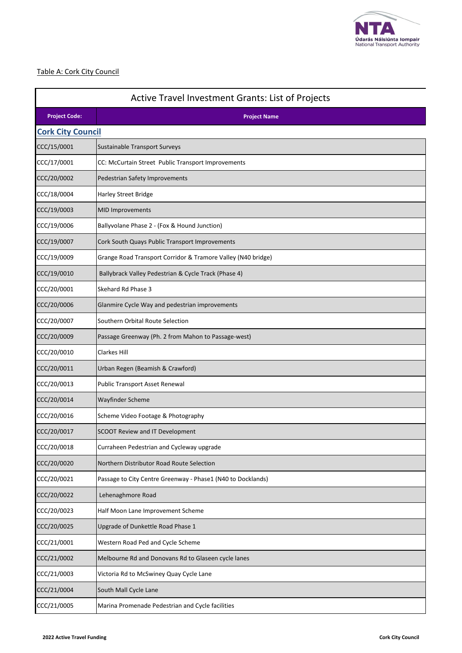

#### Table A: Cork City Council

| <b>Active Travel Investment Grants: List of Projects</b> |                                                              |  |
|----------------------------------------------------------|--------------------------------------------------------------|--|
| <b>Project Code:</b>                                     | <b>Project Name</b>                                          |  |
| <b>Cork City Council</b>                                 |                                                              |  |
| CCC/15/0001                                              | <b>Sustainable Transport Surveys</b>                         |  |
| CCC/17/0001                                              | CC: McCurtain Street Public Transport Improvements           |  |
| CCC/20/0002                                              | Pedestrian Safety Improvements                               |  |
| CCC/18/0004                                              | Harley Street Bridge                                         |  |
| CCC/19/0003                                              | <b>MID Improvements</b>                                      |  |
| CCC/19/0006                                              | Ballyvolane Phase 2 - (Fox & Hound Junction)                 |  |
| CCC/19/0007                                              | Cork South Quays Public Transport Improvements               |  |
| CCC/19/0009                                              | Grange Road Transport Corridor & Tramore Valley (N40 bridge) |  |
| CCC/19/0010                                              | Ballybrack Valley Pedestrian & Cycle Track (Phase 4)         |  |
| CCC/20/0001                                              | Skehard Rd Phase 3                                           |  |
| CCC/20/0006                                              | Glanmire Cycle Way and pedestrian improvements               |  |
| CCC/20/0007                                              | Southern Orbital Route Selection                             |  |
| CCC/20/0009                                              | Passage Greenway (Ph. 2 from Mahon to Passage-west)          |  |
| CCC/20/0010                                              | <b>Clarkes Hill</b>                                          |  |
| CCC/20/0011                                              | Urban Regen (Beamish & Crawford)                             |  |
| CCC/20/0013                                              | Public Transport Asset Renewal                               |  |
| CCC/20/0014                                              | Wayfinder Scheme                                             |  |
| CCC/20/0016                                              | Scheme Video Footage & Photography                           |  |
| CCC/20/0017                                              | SCOOT Review and IT Development                              |  |
| CCC/20/0018                                              | Curraheen Pedestrian and Cycleway upgrade                    |  |
| CCC/20/0020                                              | Northern Distributor Road Route Selection                    |  |
| CCC/20/0021                                              | Passage to City Centre Greenway - Phase1 (N40 to Docklands)  |  |
| CCC/20/0022                                              | Lehenaghmore Road                                            |  |
| CCC/20/0023                                              | Half Moon Lane Improvement Scheme                            |  |
| CCC/20/0025                                              | Upgrade of Dunkettle Road Phase 1                            |  |
| CCC/21/0001                                              | Western Road Ped and Cycle Scheme                            |  |
| CCC/21/0002                                              | Melbourne Rd and Donovans Rd to Glaseen cycle lanes          |  |
| CCC/21/0003                                              | Victoria Rd to McSwiney Quay Cycle Lane                      |  |
| CCC/21/0004                                              | South Mall Cycle Lane                                        |  |
| CCC/21/0005                                              | Marina Promenade Pedestrian and Cycle facilities             |  |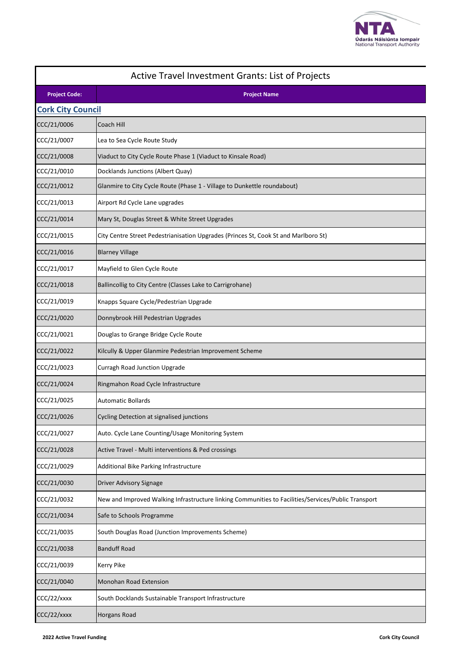

| Active Travel Investment Grants: List of Projects |                                                                                                     |  |
|---------------------------------------------------|-----------------------------------------------------------------------------------------------------|--|
| <b>Project Code:</b>                              | <b>Project Name</b>                                                                                 |  |
| <b>Cork City Council</b>                          |                                                                                                     |  |
| CCC/21/0006                                       | Coach Hill                                                                                          |  |
| CCC/21/0007                                       | Lea to Sea Cycle Route Study                                                                        |  |
| CCC/21/0008                                       | Viaduct to City Cycle Route Phase 1 (Viaduct to Kinsale Road)                                       |  |
| CCC/21/0010                                       | Docklands Junctions (Albert Quay)                                                                   |  |
| CCC/21/0012                                       | Glanmire to City Cycle Route (Phase 1 - Village to Dunkettle roundabout)                            |  |
| CCC/21/0013                                       | Airport Rd Cycle Lane upgrades                                                                      |  |
| CCC/21/0014                                       | Mary St, Douglas Street & White Street Upgrades                                                     |  |
| CCC/21/0015                                       | City Centre Street Pedestrianisation Upgrades (Princes St, Cook St and Marlboro St)                 |  |
| CCC/21/0016                                       | <b>Blarney Village</b>                                                                              |  |
| CCC/21/0017                                       | Mayfield to Glen Cycle Route                                                                        |  |
| CCC/21/0018                                       | Ballincollig to City Centre (Classes Lake to Carrigrohane)                                          |  |
| CCC/21/0019                                       | Knapps Square Cycle/Pedestrian Upgrade                                                              |  |
| CCC/21/0020                                       | Donnybrook Hill Pedestrian Upgrades                                                                 |  |
| CCC/21/0021                                       | Douglas to Grange Bridge Cycle Route                                                                |  |
| CCC/21/0022                                       | Kilcully & Upper Glanmire Pedestrian Improvement Scheme                                             |  |
| CCC/21/0023                                       | <b>Curragh Road Junction Upgrade</b>                                                                |  |
| CCC/21/0024                                       | Ringmahon Road Cycle Infrastructure                                                                 |  |
| CCC/21/0025                                       | <b>Automatic Bollards</b>                                                                           |  |
| CCC/21/0026                                       | <b>Cycling Detection at signalised junctions</b>                                                    |  |
| CCC/21/0027                                       | Auto. Cycle Lane Counting/Usage Monitoring System                                                   |  |
| CCC/21/0028                                       | Active Travel - Multi interventions & Ped crossings                                                 |  |
| CCC/21/0029                                       | Additional Bike Parking Infrastructure                                                              |  |
| CCC/21/0030                                       | Driver Advisory Signage                                                                             |  |
| CCC/21/0032                                       | New and Improved Walking Infrastructure linking Communities to Facilities/Services/Public Transport |  |
| CCC/21/0034                                       | Safe to Schools Programme                                                                           |  |
| CCC/21/0035                                       | South Douglas Road (Junction Improvements Scheme)                                                   |  |
| CCC/21/0038                                       | <b>Banduff Road</b>                                                                                 |  |
| CCC/21/0039                                       | Kerry Pike                                                                                          |  |
| CCC/21/0040                                       | Monohan Road Extension                                                                              |  |
| CCC/22/xxxx                                       | South Docklands Sustainable Transport Infrastructure                                                |  |
| CCC/22/xxxx                                       | Horgans Road                                                                                        |  |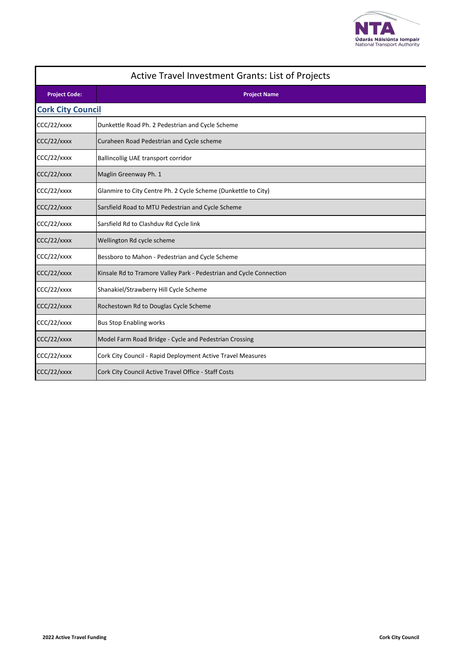

| Active Travel Investment Grants: List of Projects |                                                                     |  |
|---------------------------------------------------|---------------------------------------------------------------------|--|
| <b>Project Code:</b>                              | <b>Project Name</b>                                                 |  |
| <b>Cork City Council</b>                          |                                                                     |  |
| CCC/22/xxxx                                       | Dunkettle Road Ph. 2 Pedestrian and Cycle Scheme                    |  |
| CCC/22/xxxx                                       | Curaheen Road Pedestrian and Cycle scheme                           |  |
| CCC/22/xxxx                                       | Ballincollig UAE transport corridor                                 |  |
| CCC/22/xxxx                                       | Maglin Greenway Ph. 1                                               |  |
| CCC/22/xxxx                                       | Glanmire to City Centre Ph. 2 Cycle Scheme (Dunkettle to City)      |  |
| CCC/22/xxxx                                       | Sarsfield Road to MTU Pedestrian and Cycle Scheme                   |  |
| CCC/22/xxxx                                       | Sarsfield Rd to Clashduv Rd Cycle link                              |  |
| CCC/22/xxxx                                       | Wellington Rd cycle scheme                                          |  |
| CCC/22/xxxx                                       | Bessboro to Mahon - Pedestrian and Cycle Scheme                     |  |
| CCC/22/xxxx                                       | Kinsale Rd to Tramore Valley Park - Pedestrian and Cycle Connection |  |
| CCC/22/xxxx                                       | Shanakiel/Strawberry Hill Cycle Scheme                              |  |
| CCC/22/xxxx                                       | Rochestown Rd to Douglas Cycle Scheme                               |  |
| CCC/22/xxxx                                       | <b>Bus Stop Enabling works</b>                                      |  |
| CCC/22/xxxx                                       | Model Farm Road Bridge - Cycle and Pedestrian Crossing              |  |
| CCC/22/xxxx                                       | Cork City Council - Rapid Deployment Active Travel Measures         |  |
| CCC/22/xxxx                                       | Cork City Council Active Travel Office - Staff Costs                |  |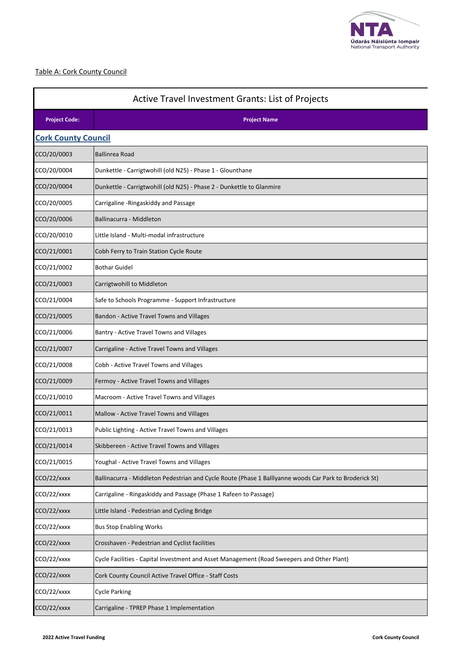

#### Table A: Cork County Council

| <b>Active Travel Investment Grants: List of Projects</b> |                                                                                                         |  |
|----------------------------------------------------------|---------------------------------------------------------------------------------------------------------|--|
| <b>Project Code:</b><br><b>Project Name</b>              |                                                                                                         |  |
| <b>Cork County Council</b>                               |                                                                                                         |  |
| CCO/20/0003                                              | <b>Ballinrea Road</b>                                                                                   |  |
| CCO/20/0004                                              | Dunkettle - Carrigtwohill (old N25) - Phase 1 - Glounthane                                              |  |
| CCO/20/0004                                              | Dunkettle - Carrigtwohill (old N25) - Phase 2 - Dunkettle to Glanmire                                   |  |
| CCO/20/0005                                              | Carrigaline - Ringaskiddy and Passage                                                                   |  |
| CCO/20/0006                                              | Ballinacurra - Middleton                                                                                |  |
| CCO/20/0010                                              | Little Island - Multi-modal infrastructure                                                              |  |
| CCO/21/0001                                              | Cobh Ferry to Train Station Cycle Route                                                                 |  |
| CCO/21/0002                                              | <b>Bothar Guidel</b>                                                                                    |  |
| CCO/21/0003                                              | Carrigtwohill to Middleton                                                                              |  |
| CCO/21/0004                                              | Safe to Schools Programme - Support Infrastructure                                                      |  |
| CCO/21/0005                                              | Bandon - Active Travel Towns and Villages                                                               |  |
| CCO/21/0006                                              | Bantry - Active Travel Towns and Villages                                                               |  |
| CCO/21/0007                                              | Carrigaline - Active Travel Towns and Villages                                                          |  |
| CCO/21/0008                                              | Cobh - Active Travel Towns and Villages                                                                 |  |
| CCO/21/0009                                              | Fermoy - Active Travel Towns and Villages                                                               |  |
| CCO/21/0010                                              | Macroom - Active Travel Towns and Villages                                                              |  |
| CCO/21/0011                                              | Mallow - Active Travel Towns and Villages                                                               |  |
| CCO/21/0013                                              | Public Lighting - Active Travel Towns and Villages                                                      |  |
| CCO/21/0014                                              | Skibbereen - Active Travel Towns and Villages                                                           |  |
| CCO/21/0015                                              | Youghal - Active Travel Towns and Villages                                                              |  |
| CCO/22/xxxx                                              | Ballinacurra - Middleton Pedestrian and Cycle Route (Phase 1 Balllyanne woods Car Park to Broderick St) |  |
| CCO/22/xxxx                                              | Carrigaline - Ringaskiddy and Passage (Phase 1 Rafeen to Passage)                                       |  |
| CCO/22/xxxx                                              | Little Island - Pedestrian and Cycling Bridge                                                           |  |
| CCO/22/xxxx                                              | <b>Bus Stop Enabling Works</b>                                                                          |  |
| CCO/22/xxxx                                              | Crosshaven - Pedestrian and Cyclist facilities                                                          |  |
| CCO/22/xxxx                                              | Cycle Facilities - Capital Investment and Asset Management (Road Sweepers and Other Plant)              |  |
| CCO/22/xxxx                                              | Cork County Council Active Travel Office - Staff Costs                                                  |  |
| CCO/22/xxxx                                              | <b>Cycle Parking</b>                                                                                    |  |
| CCO/22/xxxx                                              | Carrigaline - TPREP Phase 1 Implementation                                                              |  |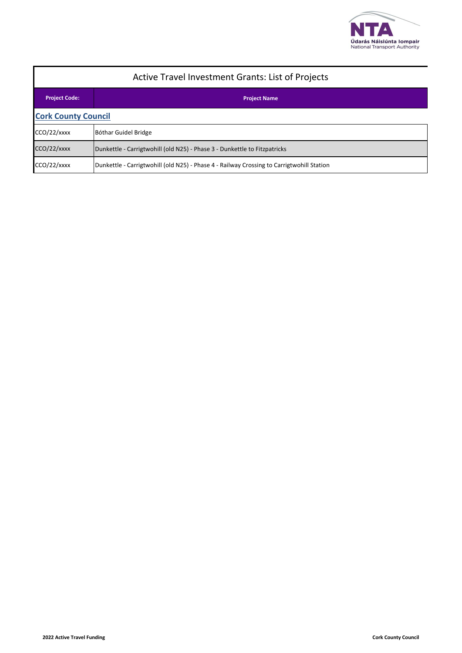

| <b>Active Travel Investment Grants: List of Projects</b> |                                                                                           |  |
|----------------------------------------------------------|-------------------------------------------------------------------------------------------|--|
| <b>Project Code:</b>                                     | <b>Project Name</b>                                                                       |  |
| <b>Cork County Council</b>                               |                                                                                           |  |
| CCO/22/xxxx                                              | Bóthar Guidel Bridge                                                                      |  |
| CCO/22/xxxx                                              | Dunkettle - Carrigtwohill (old N25) - Phase 3 - Dunkettle to Fitzpatricks                 |  |
| CCO/22/xxxx                                              | Dunkettle - Carrigtwohill (old N25) - Phase 4 - Railway Crossing to Carrigtwohill Station |  |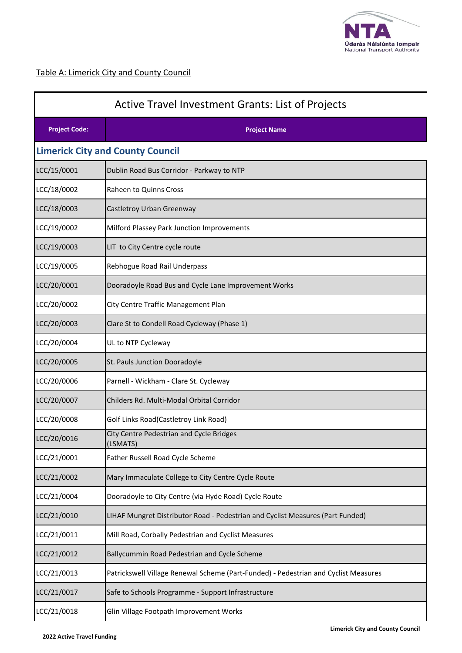

# Table A: Limerick City and County Council

| Active Travel Investment Grants: List of Projects |                                                                                     |  |
|---------------------------------------------------|-------------------------------------------------------------------------------------|--|
| <b>Project Code:</b>                              | <b>Project Name</b>                                                                 |  |
|                                                   | <b>Limerick City and County Council</b>                                             |  |
| LCC/15/0001                                       | Dublin Road Bus Corridor - Parkway to NTP                                           |  |
| LCC/18/0002                                       | Raheen to Quinns Cross                                                              |  |
| LCC/18/0003                                       | Castletroy Urban Greenway                                                           |  |
| LCC/19/0002                                       | Milford Plassey Park Junction Improvements                                          |  |
| LCC/19/0003                                       | LIT to City Centre cycle route                                                      |  |
| LCC/19/0005                                       | Rebhogue Road Rail Underpass                                                        |  |
| LCC/20/0001                                       | Dooradoyle Road Bus and Cycle Lane Improvement Works                                |  |
| LCC/20/0002                                       | City Centre Traffic Management Plan                                                 |  |
| LCC/20/0003                                       | Clare St to Condell Road Cycleway (Phase 1)                                         |  |
| LCC/20/0004                                       | UL to NTP Cycleway                                                                  |  |
| LCC/20/0005                                       | St. Pauls Junction Dooradoyle                                                       |  |
| LCC/20/0006                                       | Parnell - Wickham - Clare St. Cycleway                                              |  |
| LCC/20/0007                                       | Childers Rd. Multi-Modal Orbital Corridor                                           |  |
| LCC/20/0008                                       | Golf Links Road(Castletroy Link Road)                                               |  |
| LCC/20/0016                                       | City Centre Pedestrian and Cycle Bridges<br>(LSMATS)                                |  |
| LCC/21/0001                                       | Father Russell Road Cycle Scheme                                                    |  |
| LCC/21/0002                                       | Mary Immaculate College to City Centre Cycle Route                                  |  |
| LCC/21/0004                                       | Dooradoyle to City Centre (via Hyde Road) Cycle Route                               |  |
| LCC/21/0010                                       | LIHAF Mungret Distributor Road - Pedestrian and Cyclist Measures (Part Funded)      |  |
| LCC/21/0011                                       | Mill Road, Corbally Pedestrian and Cyclist Measures                                 |  |
| LCC/21/0012                                       | Ballycummin Road Pedestrian and Cycle Scheme                                        |  |
| LCC/21/0013                                       | Patrickswell Village Renewal Scheme (Part-Funded) - Pedestrian and Cyclist Measures |  |
| LCC/21/0017                                       | Safe to Schools Programme - Support Infrastructure                                  |  |
| LCC/21/0018                                       | Glin Village Footpath Improvement Works                                             |  |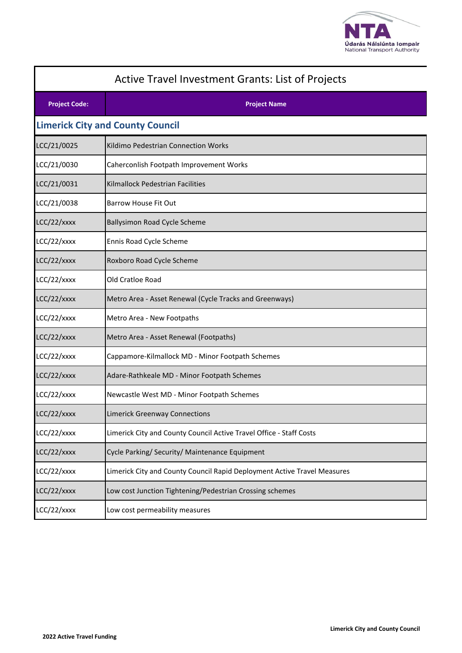

| Active Travel Investment Grants: List of Projects |                                                                          |  |
|---------------------------------------------------|--------------------------------------------------------------------------|--|
| <b>Project Code:</b>                              | <b>Project Name</b>                                                      |  |
|                                                   | <b>Limerick City and County Council</b>                                  |  |
| LCC/21/0025                                       | Kildimo Pedestrian Connection Works                                      |  |
| LCC/21/0030                                       | Caherconlish Footpath Improvement Works                                  |  |
| LCC/21/0031                                       | Kilmallock Pedestrian Facilities                                         |  |
| LCC/21/0038                                       | <b>Barrow House Fit Out</b>                                              |  |
| LCC/22/xxxx                                       | <b>Ballysimon Road Cycle Scheme</b>                                      |  |
| LCC/22/xxxx                                       | Ennis Road Cycle Scheme                                                  |  |
| LCC/22/xxxx                                       | Roxboro Road Cycle Scheme                                                |  |
| LCC/22/xxxx                                       | Old Cratloe Road                                                         |  |
| LCC/22/xxxx                                       | Metro Area - Asset Renewal (Cycle Tracks and Greenways)                  |  |
| LCC/22/xxxx                                       | Metro Area - New Footpaths                                               |  |
| LCC/22/xxxx                                       | Metro Area - Asset Renewal (Footpaths)                                   |  |
| LCC/22/xxxx                                       | Cappamore-Kilmallock MD - Minor Footpath Schemes                         |  |
| LCC/22/xxxx                                       | Adare-Rathkeale MD - Minor Footpath Schemes                              |  |
| LCC/22/xxxx                                       | Newcastle West MD - Minor Footpath Schemes                               |  |
| LCC/22/xxxx                                       | <b>Limerick Greenway Connections</b>                                     |  |
| LCC/22/xxxx                                       | Limerick City and County Council Active Travel Office - Staff Costs      |  |
| LCC/22/xxxx                                       | Cycle Parking/ Security/ Maintenance Equipment                           |  |
| LCC/22/xxxx                                       | Limerick City and County Council Rapid Deployment Active Travel Measures |  |
| LCC/22/xxxx                                       | Low cost Junction Tightening/Pedestrian Crossing schemes                 |  |
| LCC/22/xxxx                                       | Low cost permeability measures                                           |  |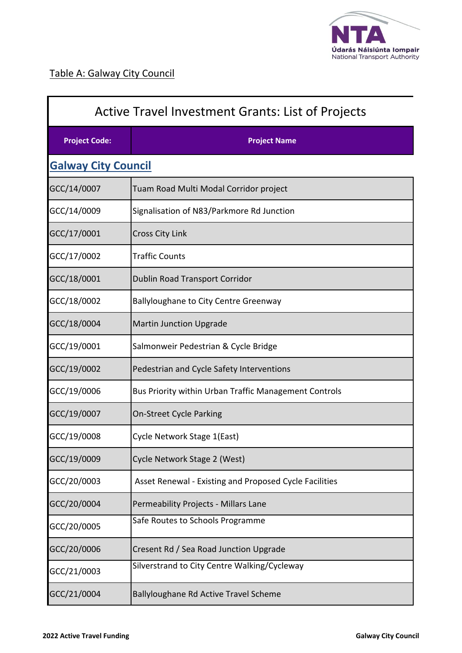

 $\mathbf I$ 

| <b>Active Travel Investment Grants: List of Projects</b> |                                                        |  |
|----------------------------------------------------------|--------------------------------------------------------|--|
| <b>Project Code:</b>                                     | <b>Project Name</b>                                    |  |
| <b>Galway City Council</b>                               |                                                        |  |
| GCC/14/0007                                              | Tuam Road Multi Modal Corridor project                 |  |
| GCC/14/0009                                              | Signalisation of N83/Parkmore Rd Junction              |  |
| GCC/17/0001                                              | <b>Cross City Link</b>                                 |  |
| GCC/17/0002                                              | <b>Traffic Counts</b>                                  |  |
| GCC/18/0001                                              | Dublin Road Transport Corridor                         |  |
| GCC/18/0002                                              | <b>Ballyloughane to City Centre Greenway</b>           |  |
| GCC/18/0004                                              | <b>Martin Junction Upgrade</b>                         |  |
| GCC/19/0001                                              | Salmonweir Pedestrian & Cycle Bridge                   |  |
| GCC/19/0002                                              | Pedestrian and Cycle Safety Interventions              |  |
| GCC/19/0006                                              | Bus Priority within Urban Traffic Management Controls  |  |
| GCC/19/0007                                              | <b>On-Street Cycle Parking</b>                         |  |
| GCC/19/0008                                              | Cycle Network Stage 1(East)                            |  |
| GCC/19/0009                                              | Cycle Network Stage 2 (West)                           |  |
| GCC/20/0003                                              | Asset Renewal - Existing and Proposed Cycle Facilities |  |
| GCC/20/0004                                              | Permeability Projects - Millars Lane                   |  |
| GCC/20/0005                                              | Safe Routes to Schools Programme                       |  |
| GCC/20/0006                                              | Cresent Rd / Sea Road Junction Upgrade                 |  |
| GCC/21/0003                                              | Silverstrand to City Centre Walking/Cycleway           |  |
| GCC/21/0004                                              | Ballyloughane Rd Active Travel Scheme                  |  |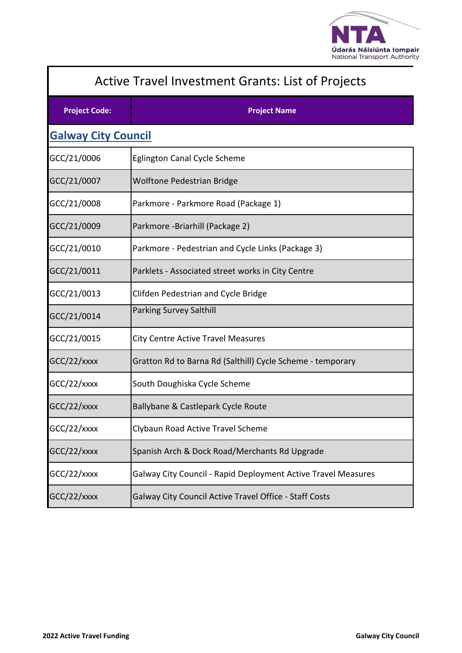

| <b>Active Travel Investment Grants: List of Projects</b> |                                                               |
|----------------------------------------------------------|---------------------------------------------------------------|
| <b>Project Code:</b>                                     | <b>Project Name</b>                                           |
| <b>Galway City Council</b>                               |                                                               |
| GCC/21/0006                                              | Eglington Canal Cycle Scheme                                  |
| GCC/21/0007                                              | <b>Wolftone Pedestrian Bridge</b>                             |
| GCC/21/0008                                              | Parkmore - Parkmore Road (Package 1)                          |
| GCC/21/0009                                              | Parkmore -Briarhill (Package 2)                               |
| GCC/21/0010                                              | Parkmore - Pedestrian and Cycle Links (Package 3)             |
| GCC/21/0011                                              | Parklets - Associated street works in City Centre             |
| GCC/21/0013                                              | Clifden Pedestrian and Cycle Bridge                           |
| GCC/21/0014                                              | <b>Parking Survey Salthill</b>                                |
| GCC/21/0015                                              | City Centre Active Travel Measures                            |
| GCC/22/xxxx                                              | Gratton Rd to Barna Rd (Salthill) Cycle Scheme - temporary    |
| GCC/22/xxxx                                              | South Doughiska Cycle Scheme                                  |
| GCC/22/xxxx                                              | Ballybane & Castlepark Cycle Route                            |
| GCC/22/xxxx                                              | Clybaun Road Active Travel Scheme                             |
| GCC/22/xxxx                                              | Spanish Arch & Dock Road/Merchants Rd Upgrade                 |
| GCC/22/xxxx                                              | Galway City Council - Rapid Deployment Active Travel Measures |
| GCC/22/xxxx                                              | Galway City Council Active Travel Office - Staff Costs        |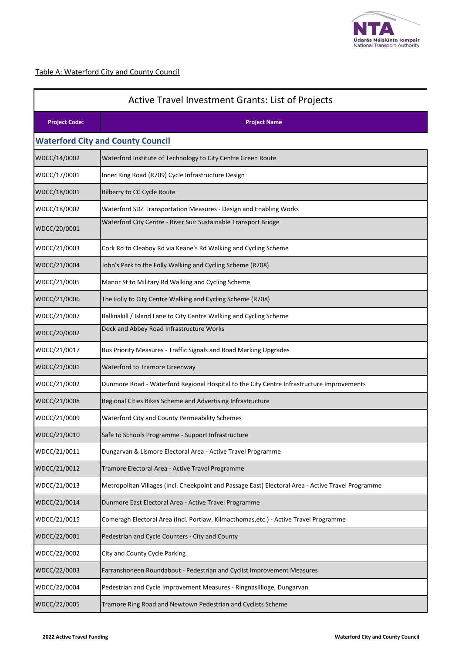

## Table A: Waterford City and County Council

| <b>Active Travel Investment Grants: List of Projects</b> |                                                                                                    |  |
|----------------------------------------------------------|----------------------------------------------------------------------------------------------------|--|
| <b>Project Code:</b>                                     | <b>Project Name</b>                                                                                |  |
|                                                          | <b>Waterford City and County Council</b>                                                           |  |
| WDCC/14/0002                                             | Waterford Institute of Technology to City Centre Green Route                                       |  |
| WDCC/17/0001                                             | Inner Ring Road (R709) Cycle Infrastructure Design                                                 |  |
| WDCC/18/0001                                             | Bilberry to CC Cycle Route                                                                         |  |
| WDCC/18/0002                                             | Waterford SDZ Transportation Measures - Design and Enabling Works                                  |  |
| WDCC/20/0001                                             | Waterford City Centre - River Suir Sustainable Transport Bridge                                    |  |
| WDCC/21/0003                                             | Cork Rd to Cleaboy Rd via Keane's Rd Walking and Cycling Scheme                                    |  |
| WDCC/21/0004                                             | John's Park to the Folly Walking and Cycling Scheme (R708)                                         |  |
| WDCC/21/0005                                             | Manor St to Military Rd Walking and Cycling Scheme                                                 |  |
| WDCC/21/0006                                             | The Folly to City Centre Walking and Cycling Scheme (R708)                                         |  |
| WDCC/21/0007                                             | Ballinakill / Island Lane to City Centre Walking and Cycling Scheme                                |  |
| WDCC/20/0002                                             | Dock and Abbey Road Infrastructure Works                                                           |  |
| WDCC/21/0017                                             | Bus Priority Measures - Traffic Signals and Road Marking Upgrades                                  |  |
| WDCC/21/0001                                             | Waterford to Tramore Greenway                                                                      |  |
| WDCC/21/0002                                             | Dunmore Road - Waterford Regional Hospital to the City Centre Infrastructure Improvements          |  |
| WDCC/21/0008                                             | Regional Cities Bikes Scheme and Advertising Infrastructure                                        |  |
| WDCC/21/0009                                             | Waterford City and County Permeability Schemes                                                     |  |
| WDCC/21/0010                                             | Safe to Schools Programme - Support Infrastructure                                                 |  |
| WDCC/21/0011                                             | Dungarvan & Lismore Electoral Area - Active Travel Programme                                       |  |
| WDCC/21/0012                                             | Tramore Electoral Area - Active Travel Programme                                                   |  |
| WDCC/21/0013                                             | Metropolitan Villages (Incl. Cheekpoint and Passage East) Electoral Area - Active Travel Programme |  |
| WDCC/21/0014                                             | Dunmore East Electoral Area - Active Travel Programme                                              |  |
| WDCC/21/0015                                             | Comeragh Electoral Area (Incl. Portlaw, Kilmacthomas, etc.) - Active Travel Programme              |  |
| WDCC/22/0001                                             | Pedestrian and Cycle Counters - City and County                                                    |  |
| WDCC/22/0002                                             | City and County Cycle Parking                                                                      |  |
| WDCC/22/0003                                             | Farranshoneen Roundabout - Pedestrian and Cyclist Improvement Measures                             |  |
| WDCC/22/0004                                             | Pedestrian and Cycle Improvement Measures - Ringnasillioge, Dungarvan                              |  |
| WDCC/22/0005                                             | Tramore Ring Road and Newtown Pedestrian and Cyclists Scheme                                       |  |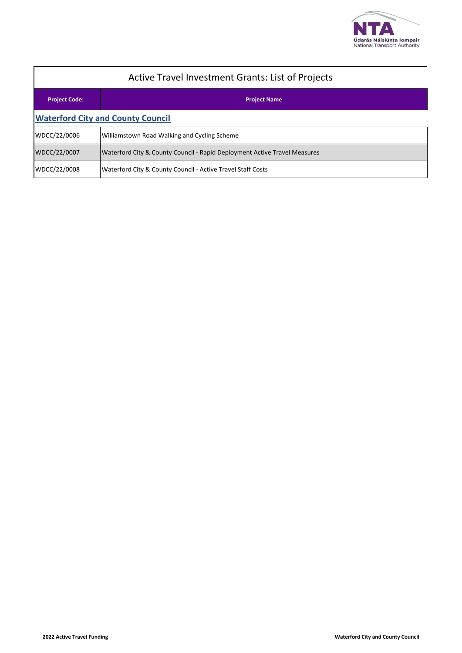

| <b>Active Travel Investment Grants: List of Projects</b> |                                                                           |  |
|----------------------------------------------------------|---------------------------------------------------------------------------|--|
| <b>Project Code:</b>                                     | <b>Project Name</b>                                                       |  |
| <b>Waterford City and County Council</b>                 |                                                                           |  |
| WDCC/22/0006                                             | Williamstown Road Walking and Cycling Scheme                              |  |
| WDCC/22/0007                                             | Waterford City & County Council - Rapid Deployment Active Travel Measures |  |
| WDCC/22/0008                                             | Waterford City & County Council - Active Travel Staff Costs               |  |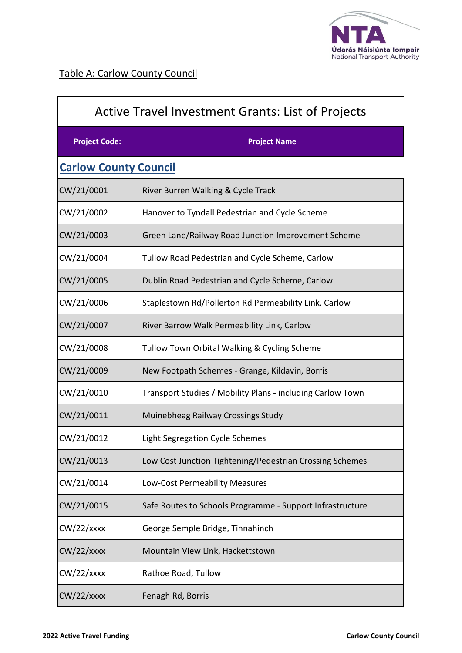

| Active Travel Investment Grants: List of Projects |                                                            |
|---------------------------------------------------|------------------------------------------------------------|
| <b>Project Code:</b>                              | <b>Project Name</b>                                        |
| <b>Carlow County Council</b>                      |                                                            |
| CW/21/0001                                        | River Burren Walking & Cycle Track                         |
| CW/21/0002                                        | Hanover to Tyndall Pedestrian and Cycle Scheme             |
| CW/21/0003                                        | Green Lane/Railway Road Junction Improvement Scheme        |
| CW/21/0004                                        | Tullow Road Pedestrian and Cycle Scheme, Carlow            |
| CW/21/0005                                        | Dublin Road Pedestrian and Cycle Scheme, Carlow            |
| CW/21/0006                                        | Staplestown Rd/Pollerton Rd Permeability Link, Carlow      |
| CW/21/0007                                        | River Barrow Walk Permeability Link, Carlow                |
| CW/21/0008                                        | Tullow Town Orbital Walking & Cycling Scheme               |
| CW/21/0009                                        | New Footpath Schemes - Grange, Kildavin, Borris            |
| CW/21/0010                                        | Transport Studies / Mobility Plans - including Carlow Town |
| CW/21/0011                                        | Muinebheag Railway Crossings Study                         |
| CW/21/0012                                        | Light Segregation Cycle Schemes                            |
| CW/21/0013                                        | Low Cost Junction Tightening/Pedestrian Crossing Schemes   |
| CW/21/0014                                        | Low-Cost Permeability Measures                             |
| CW/21/0015                                        | Safe Routes to Schools Programme - Support Infrastructure  |
| $CW/22/x$ xxx                                     | George Semple Bridge, Tinnahinch                           |
| $CW/22/x$ xxx                                     | Mountain View Link, Hackettstown                           |
| $CW/22/x$ xxx                                     | Rathoe Road, Tullow                                        |
| $CW/22/x$ xxx                                     | Fenagh Rd, Borris                                          |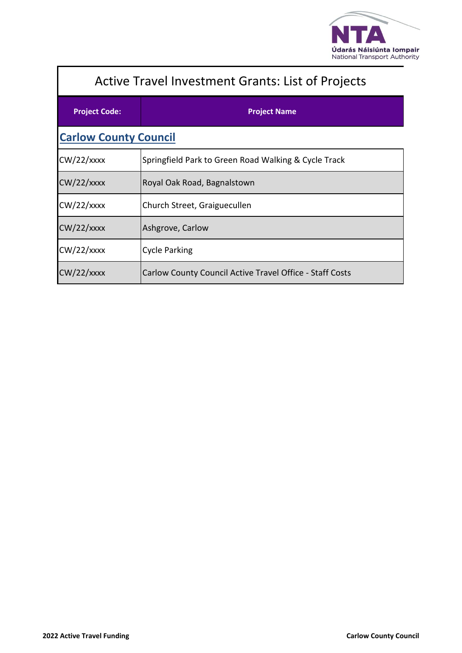

| <b>Active Travel Investment Grants: List of Projects</b> |                                                          |  |
|----------------------------------------------------------|----------------------------------------------------------|--|
| <b>Project Code:</b>                                     | <b>Project Name</b>                                      |  |
| <b>Carlow County Council</b>                             |                                                          |  |
| $CW/22/x$ xxx                                            | Springfield Park to Green Road Walking & Cycle Track     |  |
| $CW/22/x$ xxx                                            | Royal Oak Road, Bagnalstown                              |  |
| $CW/22/x$ xxx                                            | Church Street, Graiguecullen                             |  |
| $CW/22/x$ xxx                                            | Ashgrove, Carlow                                         |  |
| $CW/22/x$ xxx                                            | <b>Cycle Parking</b>                                     |  |
| $CW/22/x$ xxx                                            | Carlow County Council Active Travel Office - Staff Costs |  |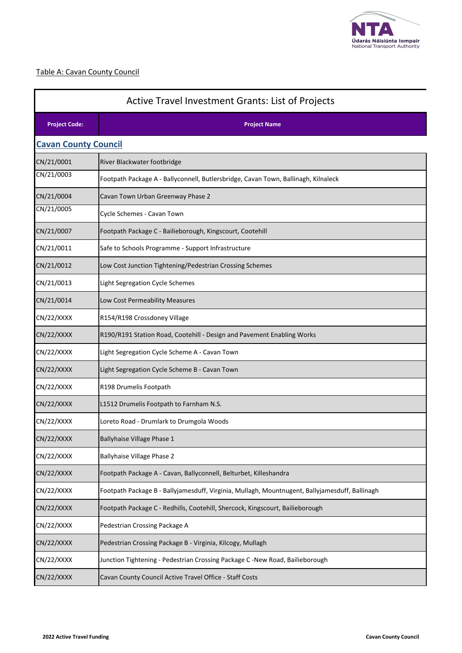

### Table A: Cavan County Council

| Active Travel Investment Grants: List of Projects |                                                                                                |  |
|---------------------------------------------------|------------------------------------------------------------------------------------------------|--|
| <b>Project Code:</b>                              | <b>Project Name</b>                                                                            |  |
| <b>Cavan County Council</b>                       |                                                                                                |  |
| CN/21/0001                                        | River Blackwater footbridge                                                                    |  |
| CN/21/0003                                        | Footpath Package A - Ballyconnell, Butlersbridge, Cavan Town, Ballinagh, Kilnaleck             |  |
| CN/21/0004                                        | Cavan Town Urban Greenway Phase 2                                                              |  |
| CN/21/0005                                        | Cycle Schemes - Cavan Town                                                                     |  |
| CN/21/0007                                        | Footpath Package C - Bailieborough, Kingscourt, Cootehill                                      |  |
| CN/21/0011                                        | Safe to Schools Programme - Support Infrastructure                                             |  |
| CN/21/0012                                        | Low Cost Junction Tightening/Pedestrian Crossing Schemes                                       |  |
| CN/21/0013                                        | Light Segregation Cycle Schemes                                                                |  |
| CN/21/0014                                        | Low Cost Permeability Measures                                                                 |  |
| CN/22/XXXX                                        | R154/R198 Crossdoney Village                                                                   |  |
| CN/22/XXXX                                        | R190/R191 Station Road, Cootehill - Design and Pavement Enabling Works                         |  |
| CN/22/XXXX                                        | Light Segregation Cycle Scheme A - Cavan Town                                                  |  |
| CN/22/XXXX                                        | Light Segregation Cycle Scheme B - Cavan Town                                                  |  |
| CN/22/XXXX                                        | R198 Drumelis Footpath                                                                         |  |
| CN/22/XXXX                                        | L1512 Drumelis Footpath to Farnham N.S.                                                        |  |
| CN/22/XXXX                                        | Loreto Road - Drumlark to Drumgola Woods                                                       |  |
| CN/22/XXXX                                        | <b>Ballyhaise Village Phase 1</b>                                                              |  |
| CN/22/XXXX                                        | <b>Ballyhaise Village Phase 2</b>                                                              |  |
| CN/22/XXXX                                        | Footpath Package A - Cavan, Ballyconnell, Belturbet, Killeshandra                              |  |
| CN/22/XXXX                                        | Footpath Package B - Ballyjamesduff, Virginia, Mullagh, Mountnugent, Ballyjamesduff, Ballinagh |  |
| CN/22/XXXX                                        | Footpath Package C - Redhills, Cootehill, Shercock, Kingscourt, Bailieborough                  |  |
| CN/22/XXXX                                        | Pedestrian Crossing Package A                                                                  |  |
| CN/22/XXXX                                        | Pedestrian Crossing Package B - Virginia, Kilcogy, Mullagh                                     |  |
| CN/22/XXXX                                        | Junction Tightening - Pedestrian Crossing Package C -New Road, Bailieborough                   |  |
| CN/22/XXXX                                        | Cavan County Council Active Travel Office - Staff Costs                                        |  |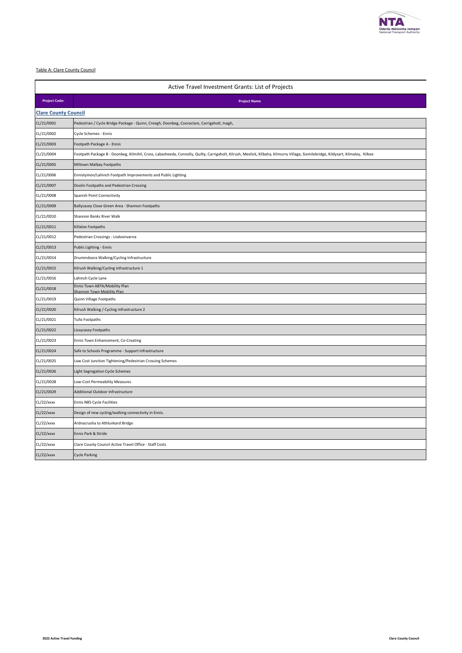

#### Table A: Clare County Council

| Active Travel Investment Grants: List of Projects |                                                                                                                                                                                   |  |
|---------------------------------------------------|-----------------------------------------------------------------------------------------------------------------------------------------------------------------------------------|--|
| <b>Project Code:</b>                              | <b>Project Name</b>                                                                                                                                                               |  |
| <b>Clare County Council</b>                       |                                                                                                                                                                                   |  |
| CL/21/0001                                        | Pedestrian / Cycle Bridge Package - Quinn, Creegh, Doonbeg, Cooraclare, Carrigaholt, Inagh,                                                                                       |  |
| CL/21/0002                                        | Cycle Schemes - Ennis                                                                                                                                                             |  |
| CL/21/0003                                        | Footpath Package A - Ennis                                                                                                                                                        |  |
| CL/21/0004                                        | Footpath Package B - Doonbeg, Kilmihil, Cross, Labasheeda, Connolly, Quilty, Carrigaholt, Kilrush, Meelick, Kilbaha, Kilmurry Village, Sixmilebridge, Kildysart, Kilmaley, Kilkee |  |
| CL/21/0005                                        | Miltown Malbay Footpaths                                                                                                                                                          |  |
| CL/21/0006                                        | Ennistymon/Lahinch Footpath Improvements and Public Lighting                                                                                                                      |  |
| CL/21/0007                                        | Doolin Footpaths and Pedestrian Crossing                                                                                                                                          |  |
| CL/21/0008                                        | Spanish Point Connectivity                                                                                                                                                        |  |
| CL/21/0009                                        | Ballycasey Close Green Area - Shannon Footpaths                                                                                                                                   |  |
| CL/21/0010                                        | Shannon Banks River Walk                                                                                                                                                          |  |
| CL/21/0011                                        | Killaloe Footpaths                                                                                                                                                                |  |
| CL/21/0012                                        | Pedestrian Crossings - Lisdoonvarna                                                                                                                                               |  |
| CL/21/0013                                        | Public Lighting - Ennis                                                                                                                                                           |  |
| CL/21/0014                                        | Drumindoora Walking/Cycling Infrastructure                                                                                                                                        |  |
| CL/21/0015                                        | Kilrush Walking/Cycling Infrastructure 1                                                                                                                                          |  |
| CL/21/0016                                        | Lahinch Cycle Lane                                                                                                                                                                |  |
| CL/21/0018                                        | Ennis Town ABTA/Mobility Plan<br>Shannon Town Mobility Plan                                                                                                                       |  |
| CL/21/0019                                        | Quinn Village Footpaths                                                                                                                                                           |  |
| CL/21/0020                                        | Kilrush Walking / Cycling Infrastructure 2                                                                                                                                        |  |
| CL/21/0021                                        | Tulla Footpaths                                                                                                                                                                   |  |
| CL/21/0022                                        | Lissycasey Footpaths                                                                                                                                                              |  |
| CL/21/0023                                        | Ennis Town Enhancement, Co-Creating                                                                                                                                               |  |
| CL/21/0024                                        | Safe to Schools Programme - Support Infrastructure                                                                                                                                |  |
| CL/21/0025                                        | Low Cost Junction Tightening/Pedestrian Crossing Schemes                                                                                                                          |  |
| CL/21/0026                                        | Light Segregation Cycle Schemes                                                                                                                                                   |  |
| CL/21/0028                                        | Low-Cost Permeability Measures                                                                                                                                                    |  |
| CL/21/0029                                        | Additional Outdoor Infrastructure                                                                                                                                                 |  |
| CL/22/xxxx                                        | Ennis N85 Cycle Facilities                                                                                                                                                        |  |
| CL/22/xxxx                                        | Design of new cycling/walking connectivity in Ennis.                                                                                                                              |  |
| CL/22/xxxx                                        | Ardnacrusha to Athlunkard Bridge                                                                                                                                                  |  |
| CL/22/xxxx                                        | Ennis Park & Stride                                                                                                                                                               |  |
| CL/22/xxxx                                        | Clare County Council Active Travel Office - Staff Costs                                                                                                                           |  |
| CL/22/xxxx                                        | <b>Cycle Parking</b>                                                                                                                                                              |  |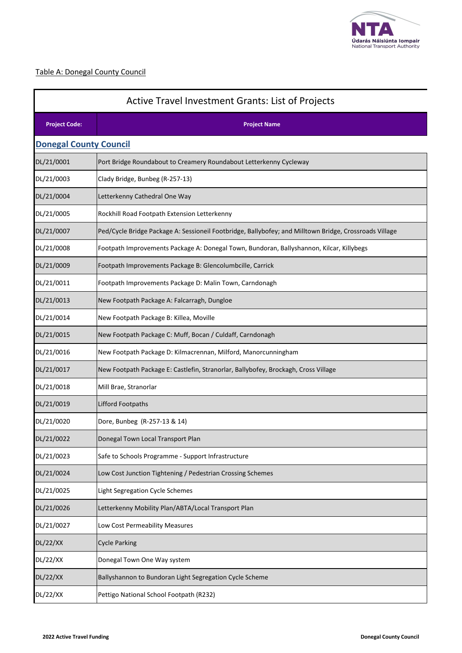

## Table A: Donegal County Council

| Active Travel Investment Grants: List of Projects |                                                                                                        |  |
|---------------------------------------------------|--------------------------------------------------------------------------------------------------------|--|
| <b>Project Code:</b>                              | <b>Project Name</b>                                                                                    |  |
| <b>Donegal County Council</b>                     |                                                                                                        |  |
| DL/21/0001                                        | Port Bridge Roundabout to Creamery Roundabout Letterkenny Cycleway                                     |  |
| DL/21/0003                                        | Clady Bridge, Bunbeg (R-257-13)                                                                        |  |
| DL/21/0004                                        | Letterkenny Cathedral One Way                                                                          |  |
| DL/21/0005                                        | Rockhill Road Footpath Extension Letterkenny                                                           |  |
| DL/21/0007                                        | Ped/Cycle Bridge Package A: Sessioneil Footbridge, Ballybofey; and Milltown Bridge, Crossroads Village |  |
| DL/21/0008                                        | Footpath Improvements Package A: Donegal Town, Bundoran, Ballyshannon, Kilcar, Killybegs               |  |
| DL/21/0009                                        | Footpath Improvements Package B: Glencolumbcille, Carrick                                              |  |
| DL/21/0011                                        | Footpath Improvements Package D: Malin Town, Carndonagh                                                |  |
| DL/21/0013                                        | New Footpath Package A: Falcarragh, Dungloe                                                            |  |
| DL/21/0014                                        | New Footpath Package B: Killea, Moville                                                                |  |
| DL/21/0015                                        | New Footpath Package C: Muff, Bocan / Culdaff, Carndonagh                                              |  |
| DL/21/0016                                        | New Footpath Package D: Kilmacrennan, Milford, Manorcunningham                                         |  |
| DL/21/0017                                        | New Footpath Package E: Castlefin, Stranorlar, Ballybofey, Brockagh, Cross Village                     |  |
| DL/21/0018                                        | Mill Brae, Stranorlar                                                                                  |  |
| DL/21/0019                                        | <b>Lifford Footpaths</b>                                                                               |  |
| DL/21/0020                                        | Dore, Bunbeg (R-257-13 & 14)                                                                           |  |
| DL/21/0022                                        | Donegal Town Local Transport Plan                                                                      |  |
| DL/21/0023                                        | Safe to Schools Programme - Support Infrastructure                                                     |  |
| DL/21/0024                                        | Low Cost Junction Tightening / Pedestrian Crossing Schemes                                             |  |
| DL/21/0025                                        | Light Segregation Cycle Schemes                                                                        |  |
| DL/21/0026                                        | Letterkenny Mobility Plan/ABTA/Local Transport Plan                                                    |  |
| DL/21/0027                                        | Low Cost Permeability Measures                                                                         |  |
| <b>DL/22/XX</b>                                   | <b>Cycle Parking</b>                                                                                   |  |
| <b>DL/22/XX</b>                                   | Donegal Town One Way system                                                                            |  |
| <b>DL/22/XX</b>                                   | Ballyshannon to Bundoran Light Segregation Cycle Scheme                                                |  |
| DL/22/XX                                          | Pettigo National School Footpath (R232)                                                                |  |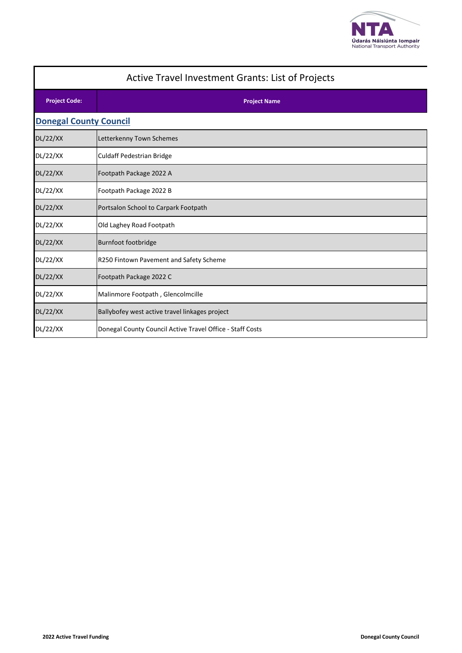

# **Project Code: Project Name** Active Travel Investment Grants: List of Projects **Donegal County Council** DL/22/XX Letterkenny Town Schemes DL/22/XX Culdaff Pedestrian Bridge DL/22/XX | Footpath Package 2022 A DL/22/XX | Footpath Package 2022 B DL/22/XX Portsalon School to Carpark Footpath DL/22/XX **Old Laghey Road Footpath** DL/22/XX Burnfoot footbridge DL/22/XX R250 Fintown Pavement and Safety Scheme DL/22/XX Footpath Package 2022 C DL/22/XX Malinmore Footpath , Glencolmcille DL/22/XX Ballybofey west active travel linkages project DL/22/XX | Donegal County Council Active Travel Office - Staff Costs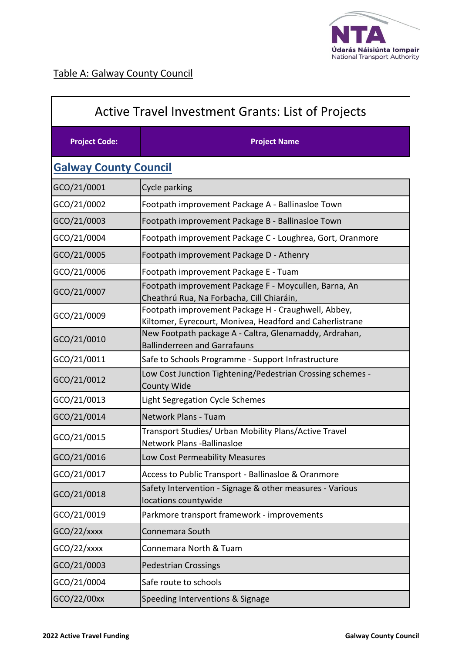

| <b>Active Travel Investment Grants: List of Projects</b> |                                                                                                                 |  |
|----------------------------------------------------------|-----------------------------------------------------------------------------------------------------------------|--|
| <b>Project Code:</b>                                     | <b>Project Name</b>                                                                                             |  |
| <b>Galway County Council</b>                             |                                                                                                                 |  |
| GCO/21/0001                                              | Cycle parking                                                                                                   |  |
| GCO/21/0002                                              | Footpath improvement Package A - Ballinasloe Town                                                               |  |
| GCO/21/0003                                              | Footpath improvement Package B - Ballinasloe Town                                                               |  |
| GCO/21/0004                                              | Footpath improvement Package C - Loughrea, Gort, Oranmore                                                       |  |
| GCO/21/0005                                              | Footpath improvement Package D - Athenry                                                                        |  |
| GCO/21/0006                                              | Footpath improvement Package E - Tuam                                                                           |  |
| GCO/21/0007                                              | Footpath improvement Package F - Moycullen, Barna, An<br>Cheathrú Rua, Na Forbacha, Cill Chiaráin,              |  |
| GCO/21/0009                                              | Footpath improvement Package H - Craughwell, Abbey,<br>Kiltomer, Eyrecourt, Monivea, Headford and Caherlistrane |  |
| GCO/21/0010                                              | New Footpath package A - Caltra, Glenamaddy, Ardrahan,<br><b>Ballinderreen and Garrafauns</b>                   |  |
| GCO/21/0011                                              | Safe to Schools Programme - Support Infrastructure                                                              |  |
| GCO/21/0012                                              | Low Cost Junction Tightening/Pedestrian Crossing schemes -<br>County Wide                                       |  |
| GCO/21/0013                                              | Light Segregation Cycle Schemes                                                                                 |  |
| GCO/21/0014                                              | Network Plans - Tuam                                                                                            |  |
| GCO/21/0015                                              | Transport Studies/ Urban Mobility Plans/Active Travel<br>Network Plans - Ballinasloe                            |  |
| GCO/21/0016                                              | Low Cost Permeability Measures                                                                                  |  |
| GCO/21/0017                                              | Access to Public Transport - Ballinasloe & Oranmore                                                             |  |
| GCO/21/0018                                              | Safety Intervention - Signage & other measures - Various<br>locations countywide                                |  |
| GCO/21/0019                                              | Parkmore transport framework - improvements                                                                     |  |
| $GCO/22/x$ xxx                                           | Connemara South                                                                                                 |  |
| GCO/22/xxxx                                              | Connemara North & Tuam                                                                                          |  |
| GCO/21/0003                                              | <b>Pedestrian Crossings</b>                                                                                     |  |
| GCO/21/0004                                              | Safe route to schools                                                                                           |  |
| GCO/22/00xx                                              | Speeding Interventions & Signage                                                                                |  |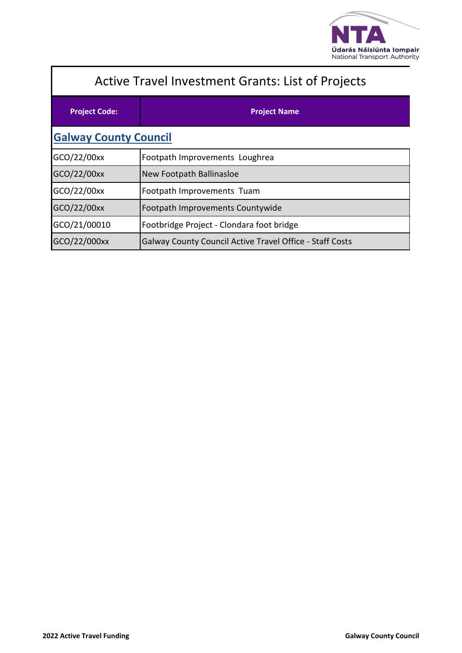

| <b>Active Travel Investment Grants: List of Projects</b> |                                                                 |  |
|----------------------------------------------------------|-----------------------------------------------------------------|--|
| <b>Project Code:</b>                                     | <b>Project Name</b>                                             |  |
| <b>Galway County Council</b>                             |                                                                 |  |
| GCO/22/00xx                                              | Footpath Improvements Loughrea                                  |  |
| GCO/22/00xx                                              | New Footpath Ballinasloe                                        |  |
| GCO/22/00xx                                              | Footpath Improvements Tuam                                      |  |
| GCO/22/00xx                                              | Footpath Improvements Countywide                                |  |
| GCO/21/00010                                             | Footbridge Project - Clondara foot bridge                       |  |
| GCO/22/000xx                                             | <b>Galway County Council Active Travel Office - Staff Costs</b> |  |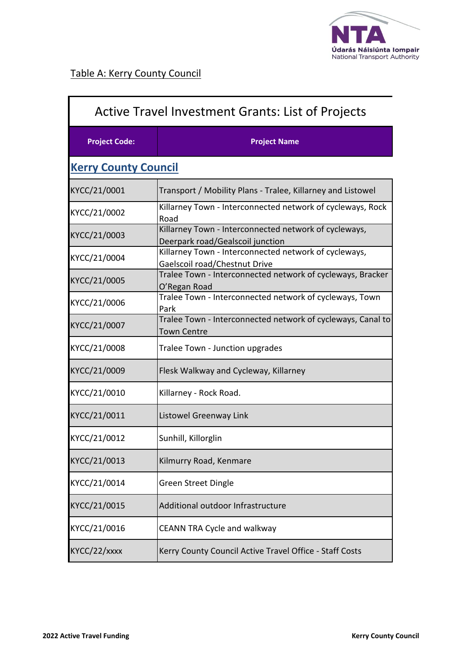

| <b>Active Travel Investment Grants: List of Projects</b> |                                                                                           |  |  |
|----------------------------------------------------------|-------------------------------------------------------------------------------------------|--|--|
| <b>Project Code:</b>                                     | <b>Project Name</b>                                                                       |  |  |
|                                                          | <b>Kerry County Council</b>                                                               |  |  |
| KYCC/21/0001                                             | Transport / Mobility Plans - Tralee, Killarney and Listowel                               |  |  |
| KYCC/21/0002                                             | Killarney Town - Interconnected network of cycleways, Rock<br>Road                        |  |  |
| KYCC/21/0003                                             | Killarney Town - Interconnected network of cycleways,<br>Deerpark road/Gealscoil junction |  |  |
| KYCC/21/0004                                             | Killarney Town - Interconnected network of cycleways,<br>Gaelscoil road/Chestnut Drive    |  |  |
| KYCC/21/0005                                             | Tralee Town - Interconnected network of cycleways, Bracker<br>O'Regan Road                |  |  |
| KYCC/21/0006                                             | Tralee Town - Interconnected network of cycleways, Town<br>Park                           |  |  |
| KYCC/21/0007                                             | Tralee Town - Interconnected network of cycleways, Canal to<br>Town Centre                |  |  |
| KYCC/21/0008                                             | Tralee Town - Junction upgrades                                                           |  |  |
| KYCC/21/0009                                             | Flesk Walkway and Cycleway, Killarney                                                     |  |  |
| KYCC/21/0010                                             | Killarney - Rock Road.                                                                    |  |  |
| KYCC/21/0011                                             | Listowel Greenway Link                                                                    |  |  |
| KYCC/21/0012                                             | Sunhill, Killorglin                                                                       |  |  |
| KYCC/21/0013                                             | Kilmurry Road, Kenmare                                                                    |  |  |
| KYCC/21/0014                                             | <b>Green Street Dingle</b>                                                                |  |  |
| KYCC/21/0015                                             | Additional outdoor Infrastructure                                                         |  |  |
| KYCC/21/0016                                             | CEANN TRA Cycle and walkway                                                               |  |  |
| KYCC/22/xxxx                                             | Kerry County Council Active Travel Office - Staff Costs                                   |  |  |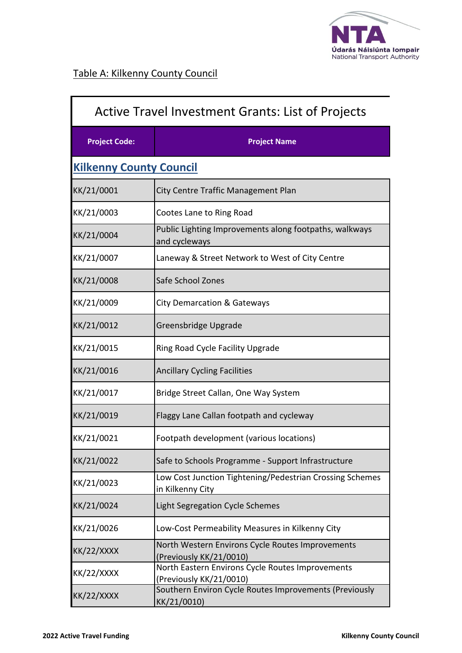

| <b>Active Travel Investment Grants: List of Projects</b> |                                                                              |
|----------------------------------------------------------|------------------------------------------------------------------------------|
| <b>Project Code:</b>                                     | <b>Project Name</b>                                                          |
| <b>Kilkenny County Council</b>                           |                                                                              |
| KK/21/0001                                               | City Centre Traffic Management Plan                                          |
| KK/21/0003                                               | Cootes Lane to Ring Road                                                     |
| KK/21/0004                                               | Public Lighting Improvements along footpaths, walkways<br>and cycleways      |
| KK/21/0007                                               | Laneway & Street Network to West of City Centre                              |
| KK/21/0008                                               | Safe School Zones                                                            |
| KK/21/0009                                               | <b>City Demarcation &amp; Gateways</b>                                       |
| KK/21/0012                                               | Greensbridge Upgrade                                                         |
| KK/21/0015                                               | Ring Road Cycle Facility Upgrade                                             |
| KK/21/0016                                               | <b>Ancillary Cycling Facilities</b>                                          |
| KK/21/0017                                               | Bridge Street Callan, One Way System                                         |
| KK/21/0019                                               | Flaggy Lane Callan footpath and cycleway                                     |
| KK/21/0021                                               | Footpath development (various locations)                                     |
| KK/21/0022                                               | Safe to Schools Programme - Support Infrastructure                           |
| KK/21/0023                                               | Low Cost Junction Tightening/Pedestrian Crossing Schemes<br>in Kilkenny City |
| KK/21/0024                                               | <b>Light Segregation Cycle Schemes</b>                                       |
| KK/21/0026                                               | Low-Cost Permeability Measures in Kilkenny City                              |
| KK/22/XXXX                                               | North Western Environs Cycle Routes Improvements<br>(Previously KK/21/0010)  |
| KK/22/XXXX                                               | North Eastern Environs Cycle Routes Improvements<br>(Previously KK/21/0010)  |
| KK/22/XXXX                                               | Southern Environ Cycle Routes Improvements (Previously<br>KK/21/0010)        |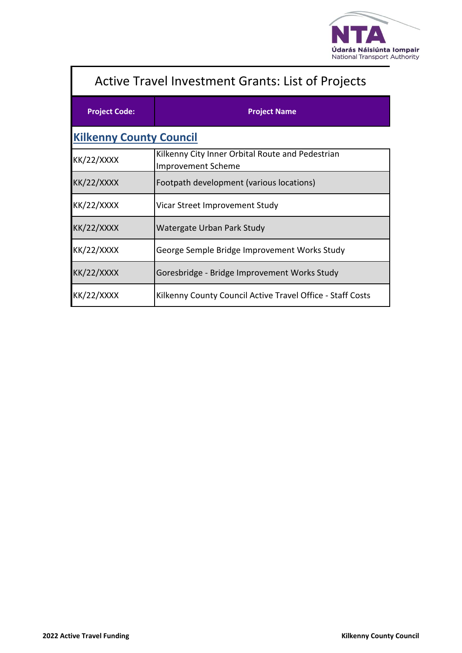

| <b>Active Travel Investment Grants: List of Projects</b> |                                                                        |  |
|----------------------------------------------------------|------------------------------------------------------------------------|--|
| <b>Project Code:</b>                                     | <b>Project Name</b>                                                    |  |
| <b>Kilkenny County Council</b>                           |                                                                        |  |
| <b>KK/22/XXXX</b>                                        | Kilkenny City Inner Orbital Route and Pedestrian<br>Improvement Scheme |  |
| <b>KK/22/XXXX</b>                                        | Footpath development (various locations)                               |  |
| <b>KK/22/XXXX</b>                                        | Vicar Street Improvement Study                                         |  |
| <b>KK/22/XXXX</b>                                        | Watergate Urban Park Study                                             |  |
| <b>KK/22/XXXX</b>                                        | George Semple Bridge Improvement Works Study                           |  |
| <b>KK/22/XXXX</b>                                        | Goresbridge - Bridge Improvement Works Study                           |  |
| <b>KK/22/XXXX</b>                                        | Kilkenny County Council Active Travel Office - Staff Costs             |  |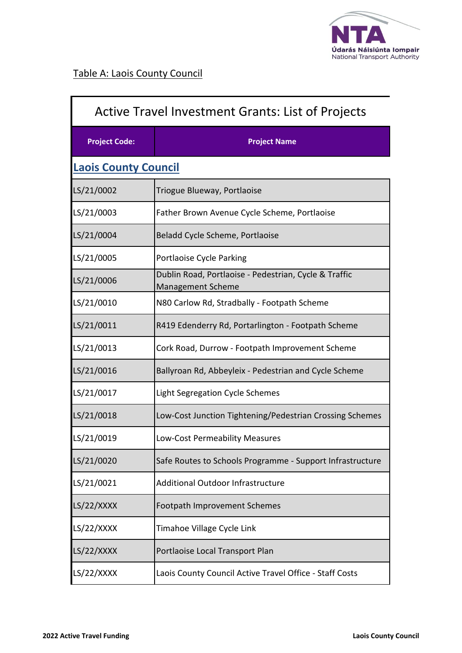

| <b>Active Travel Investment Grants: List of Projects</b> |                                                                            |
|----------------------------------------------------------|----------------------------------------------------------------------------|
| <b>Project Code:</b>                                     | <b>Project Name</b>                                                        |
| <b>Laois County Council</b>                              |                                                                            |
| LS/21/0002                                               | Triogue Blueway, Portlaoise                                                |
| LS/21/0003                                               | Father Brown Avenue Cycle Scheme, Portlaoise                               |
| LS/21/0004                                               | Beladd Cycle Scheme, Portlaoise                                            |
| LS/21/0005                                               | Portlaoise Cycle Parking                                                   |
| LS/21/0006                                               | Dublin Road, Portlaoise - Pedestrian, Cycle & Traffic<br>Management Scheme |
| LS/21/0010                                               | N80 Carlow Rd, Stradbally - Footpath Scheme                                |
| LS/21/0011                                               | R419 Edenderry Rd, Portarlington - Footpath Scheme                         |
| LS/21/0013                                               | Cork Road, Durrow - Footpath Improvement Scheme                            |
| LS/21/0016                                               | Ballyroan Rd, Abbeyleix - Pedestrian and Cycle Scheme                      |
| LS/21/0017                                               | Light Segregation Cycle Schemes                                            |
| LS/21/0018                                               | Low-Cost Junction Tightening/Pedestrian Crossing Schemes                   |
| LS/21/0019                                               | Low-Cost Permeability Measures                                             |
| LS/21/0020                                               | Safe Routes to Schools Programme - Support Infrastructure                  |
| LS/21/0021                                               | <b>Additional Outdoor Infrastructure</b>                                   |
| LS/22/XXXX                                               | Footpath Improvement Schemes                                               |
| LS/22/XXXX                                               | Timahoe Village Cycle Link                                                 |
| LS/22/XXXX                                               | Portlaoise Local Transport Plan                                            |
| LS/22/XXXX                                               | Laois County Council Active Travel Office - Staff Costs                    |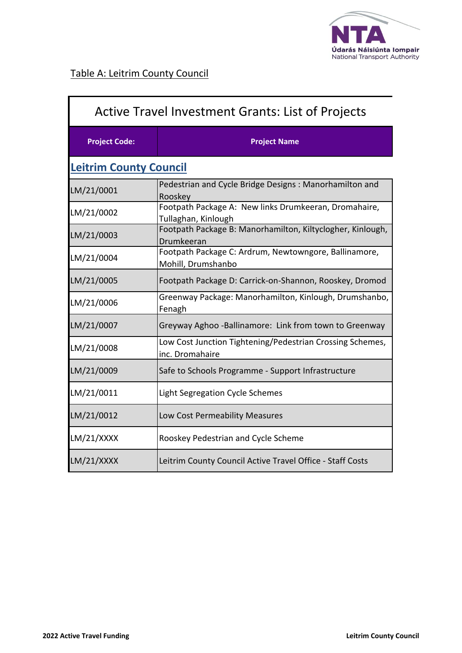

| <b>Active Travel Investment Grants: List of Projects</b> |                                                                              |  |
|----------------------------------------------------------|------------------------------------------------------------------------------|--|
| <b>Project Code:</b>                                     | <b>Project Name</b>                                                          |  |
| <b>Leitrim County Council</b>                            |                                                                              |  |
| LM/21/0001                                               | Pedestrian and Cycle Bridge Designs: Manorhamilton and<br>Rooskey            |  |
| LM/21/0002                                               | Footpath Package A: New links Drumkeeran, Dromahaire,<br>Tullaghan, Kinlough |  |
| LM/21/0003                                               | Footpath Package B: Manorhamilton, Kiltyclogher, Kinlough,<br>Drumkeeran     |  |
| LM/21/0004                                               | Footpath Package C: Ardrum, Newtowngore, Ballinamore,<br>Mohill, Drumshanbo  |  |
| LM/21/0005                                               | Footpath Package D: Carrick-on-Shannon, Rooskey, Dromod                      |  |
| LM/21/0006                                               | Greenway Package: Manorhamilton, Kinlough, Drumshanbo,<br>Fenagh             |  |
| LM/21/0007                                               | Greyway Aghoo -Ballinamore: Link from town to Greenway                       |  |
| LM/21/0008                                               | Low Cost Junction Tightening/Pedestrian Crossing Schemes,<br>inc. Dromahaire |  |
| LM/21/0009                                               | Safe to Schools Programme - Support Infrastructure                           |  |
| LM/21/0011                                               | <b>Light Segregation Cycle Schemes</b>                                       |  |
| LM/21/0012                                               | Low Cost Permeability Measures                                               |  |
| LM/21/XXXX                                               | Rooskey Pedestrian and Cycle Scheme                                          |  |
| LM/21/XXXX                                               | Leitrim County Council Active Travel Office - Staff Costs                    |  |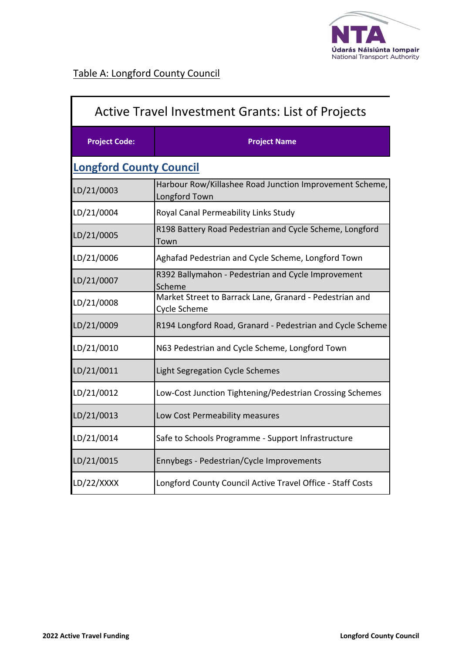

 $\mathbf{r}$ 

| <b>Active Travel Investment Grants: List of Projects</b> |                                                                          |
|----------------------------------------------------------|--------------------------------------------------------------------------|
| <b>Project Code:</b>                                     | <b>Project Name</b>                                                      |
| <b>Longford County Council</b>                           |                                                                          |
| LD/21/0003                                               | Harbour Row/Killashee Road Junction Improvement Scheme,<br>Longford Town |
| LD/21/0004                                               | Royal Canal Permeability Links Study                                     |
| LD/21/0005                                               | R198 Battery Road Pedestrian and Cycle Scheme, Longford<br>Town          |
| LD/21/0006                                               | Aghafad Pedestrian and Cycle Scheme, Longford Town                       |
| LD/21/0007                                               | R392 Ballymahon - Pedestrian and Cycle Improvement<br>Scheme             |
| LD/21/0008                                               | Market Street to Barrack Lane, Granard - Pedestrian and<br>Cycle Scheme  |
| LD/21/0009                                               | R194 Longford Road, Granard - Pedestrian and Cycle Scheme                |
| LD/21/0010                                               | N63 Pedestrian and Cycle Scheme, Longford Town                           |
| LD/21/0011                                               | Light Segregation Cycle Schemes                                          |
| LD/21/0012                                               | Low-Cost Junction Tightening/Pedestrian Crossing Schemes                 |
| LD/21/0013                                               | Low Cost Permeability measures                                           |
| LD/21/0014                                               | Safe to Schools Programme - Support Infrastructure                       |
| LD/21/0015                                               | Ennybegs - Pedestrian/Cycle Improvements                                 |
| LD/22/XXXX                                               | Longford County Council Active Travel Office - Staff Costs               |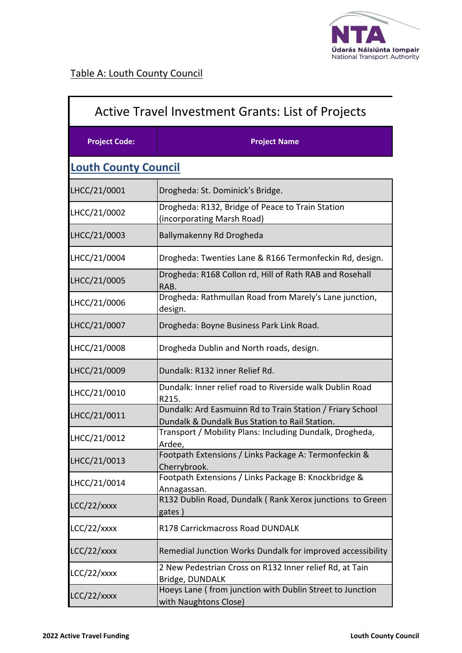

| Active Travel Investment Grants: List of Projects |                                                                                                             |
|---------------------------------------------------|-------------------------------------------------------------------------------------------------------------|
| <b>Project Code:</b>                              | <b>Project Name</b>                                                                                         |
| <b>Louth County Council</b>                       |                                                                                                             |
| LHCC/21/0001                                      | Drogheda: St. Dominick's Bridge.                                                                            |
| LHCC/21/0002                                      | Drogheda: R132, Bridge of Peace to Train Station<br>(incorporating Marsh Road)                              |
| LHCC/21/0003                                      | Ballymakenny Rd Drogheda                                                                                    |
| LHCC/21/0004                                      | Drogheda: Twenties Lane & R166 Termonfeckin Rd, design.                                                     |
| LHCC/21/0005                                      | Drogheda: R168 Collon rd, Hill of Rath RAB and Rosehall<br>RAB.                                             |
| LHCC/21/0006                                      | Drogheda: Rathmullan Road from Marely's Lane junction,<br>design.                                           |
| LHCC/21/0007                                      | Drogheda: Boyne Business Park Link Road.                                                                    |
| LHCC/21/0008                                      | Drogheda Dublin and North roads, design.                                                                    |
| LHCC/21/0009                                      | Dundalk: R132 inner Relief Rd.                                                                              |
| LHCC/21/0010                                      | Dundalk: Inner relief road to Riverside walk Dublin Road<br>R215.                                           |
| LHCC/21/0011                                      | Dundalk: Ard Easmuinn Rd to Train Station / Friary School<br>Dundalk & Dundalk Bus Station to Rail Station. |
| LHCC/21/0012                                      | Transport / Mobility Plans: Including Dundalk, Drogheda,<br>Ardee,                                          |
| LHCC/21/0013                                      | Footpath Extensions / Links Package A: Termonfeckin &<br>Cherrybrook.                                       |
| LHCC/21/0014                                      | Footpath Extensions / Links Package B: Knockbridge &<br>Annagassan.                                         |
| LCC/22/xxxx                                       | R132 Dublin Road, Dundalk (Rank Xerox junctions to Green<br>gates)                                          |
| $LCC/22/x$ xxx                                    | R178 Carrickmacross Road DUNDALK                                                                            |
| LCC/22/xxxx                                       | Remedial Junction Works Dundalk for improved accessibility                                                  |
| $LCC/22/x$ xxx                                    | 2 New Pedestrian Cross on R132 Inner relief Rd, at Tain<br>Bridge, DUNDALK                                  |
| LCC/22/xxxx                                       | Hoeys Lane (from junction with Dublin Street to Junction<br>with Naughtons Close)                           |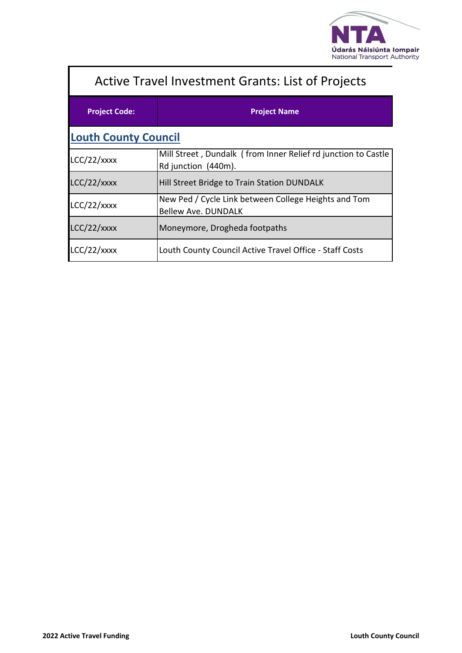

| <b>Active Travel Investment Grants: List of Projects</b> |                                                                                      |  |
|----------------------------------------------------------|--------------------------------------------------------------------------------------|--|
| <b>Project Code:</b>                                     | <b>Project Name</b>                                                                  |  |
| <b>Louth County Council</b>                              |                                                                                      |  |
| LCC/22/xxxx                                              | Mill Street, Dundalk (from Inner Relief rd junction to Castle<br>Rd junction (440m). |  |
| LCC/22/xxxx                                              | Hill Street Bridge to Train Station DUNDALK                                          |  |
| LCC/22/xxxx                                              | New Ped / Cycle Link between College Heights and Tom<br><b>Bellew Ave. DUNDALK</b>   |  |
| LCC/22/xxxx                                              | Moneymore, Drogheda footpaths                                                        |  |
| LCC/22/xxxx                                              | Louth County Council Active Travel Office - Staff Costs                              |  |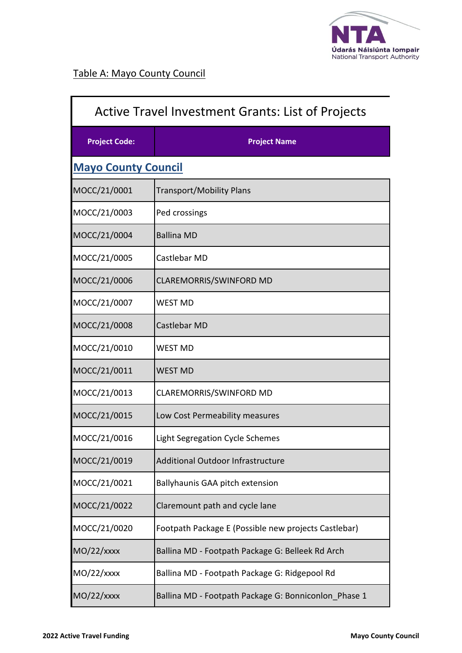

| <b>Active Travel Investment Grants: List of Projects</b> |                                                      |
|----------------------------------------------------------|------------------------------------------------------|
| <b>Project Code:</b>                                     | <b>Project Name</b>                                  |
| <b>Mayo County Council</b>                               |                                                      |
| MOCC/21/0001                                             | <b>Transport/Mobility Plans</b>                      |
| MOCC/21/0003                                             | Ped crossings                                        |
| MOCC/21/0004                                             | <b>Ballina MD</b>                                    |
| MOCC/21/0005                                             | Castlebar MD                                         |
| MOCC/21/0006                                             | CLAREMORRIS/SWINFORD MD                              |
| MOCC/21/0007                                             | <b>WEST MD</b>                                       |
| MOCC/21/0008                                             | Castlebar MD                                         |
| MOCC/21/0010                                             | <b>WEST MD</b>                                       |
| MOCC/21/0011                                             | <b>WEST MD</b>                                       |
| MOCC/21/0013                                             | CLAREMORRIS/SWINFORD MD                              |
| MOCC/21/0015                                             | Low Cost Permeability measures                       |
| MOCC/21/0016                                             | Light Segregation Cycle Schemes                      |
| MOCC/21/0019                                             | Additional Outdoor Infrastructure                    |
| MOCC/21/0021                                             | Ballyhaunis GAA pitch extension                      |
| MOCC/21/0022                                             | Claremount path and cycle lane                       |
| MOCC/21/0020                                             | Footpath Package E (Possible new projects Castlebar) |
| $MO/22/x$ xxx                                            | Ballina MD - Footpath Package G: Belleek Rd Arch     |
| $MO/22/x$ xxx                                            | Ballina MD - Footpath Package G: Ridgepool Rd        |
| $MO/22/x$ xxx                                            | Ballina MD - Footpath Package G: Bonniconlon_Phase 1 |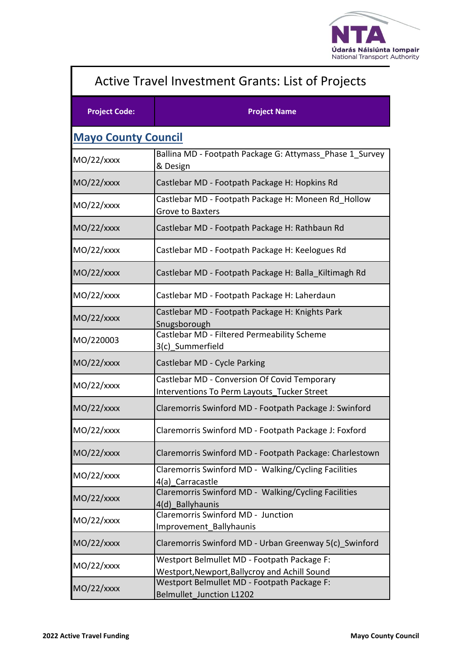

| <b>Active Travel Investment Grants: List of Projects</b> |                                                                                              |
|----------------------------------------------------------|----------------------------------------------------------------------------------------------|
| <b>Project Code:</b>                                     | <b>Project Name</b>                                                                          |
| <b>Mayo County Council</b>                               |                                                                                              |
| $MO/22/x$ xxx                                            | Ballina MD - Footpath Package G: Attymass Phase 1 Survey<br>& Design                         |
| $MO/22/x$ xxx                                            | Castlebar MD - Footpath Package H: Hopkins Rd                                                |
| $MO/22/x$ xxx                                            | Castlebar MD - Footpath Package H: Moneen Rd Hollow<br>Grove to Baxters                      |
| $MO/22/x$ xxx                                            | Castlebar MD - Footpath Package H: Rathbaun Rd                                               |
| $MO/22/x$ xxx                                            | Castlebar MD - Footpath Package H: Keelogues Rd                                              |
| $MO/22/x$ xxx                                            | Castlebar MD - Footpath Package H: Balla Kiltimagh Rd                                        |
| $MO/22/x$ xxx                                            | Castlebar MD - Footpath Package H: Laherdaun                                                 |
| $MO/22/x$ xxx                                            | Castlebar MD - Footpath Package H: Knights Park<br>Snugsborough                              |
| MO/220003                                                | Castlebar MD - Filtered Permeability Scheme<br>3(c)_Summerfield                              |
| $MO/22/x$ xxx                                            | Castlebar MD - Cycle Parking                                                                 |
| $MO/22/x$ xxx                                            | Castlebar MD - Conversion Of Covid Temporary<br>Interventions To Perm Layouts Tucker Street  |
| $MO/22/x$ xxx                                            | Claremorris Swinford MD - Footpath Package J: Swinford                                       |
| $MO/22/x$ xxx                                            | Claremorris Swinford MD - Footpath Package J: Foxford                                        |
| $MO/22/x$ xxx                                            | Claremorris Swinford MD - Footpath Package: Charlestown                                      |
| $MO/22/x$ xxx                                            | Claremorris Swinford MD - Walking/Cycling Facilities<br>4(a) Carracastle                     |
| $MO/22/x$ xxx                                            | Claremorris Swinford MD - Walking/Cycling Facilities<br>4(d) Ballyhaunis                     |
| $MO/22/x$ xxx                                            | Claremorris Swinford MD - Junction<br>Improvement_Ballyhaunis                                |
| $MO/22/x$ xxx                                            | Claremorris Swinford MD - Urban Greenway 5(c) Swinford                                       |
| $MO/22/x$ xxx                                            | Westport Belmullet MD - Footpath Package F:<br>Westport, Newport, Ballycroy and Achill Sound |
| $MO/22/x$ xxx                                            | Westport Belmullet MD - Footpath Package F:<br><b>Belmullet Junction L1202</b>               |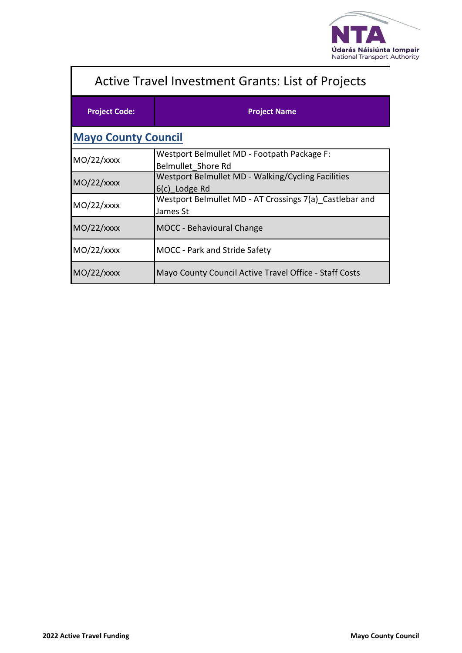

| <b>Active Travel Investment Grants: List of Projects</b> |                                                                     |  |
|----------------------------------------------------------|---------------------------------------------------------------------|--|
| <b>Project Code:</b>                                     | <b>Project Name</b>                                                 |  |
| <b>Mayo County Council</b>                               |                                                                     |  |
| MO/22/xxxx                                               | Westport Belmullet MD - Footpath Package F:<br>Belmullet Shore Rd   |  |
| $MO/22/x$ xxx                                            | Westport Belmullet MD - Walking/Cycling Facilities<br>6(c) Lodge Rd |  |
| $MO/22/x$ xxx                                            | Westport Belmullet MD - AT Crossings 7(a) Castlebar and<br>James St |  |
| $MO/22/x$ xxx                                            | <b>MOCC</b> - Behavioural Change                                    |  |
| $MO/22/x$ xxx                                            | <b>MOCC</b> - Park and Stride Safety                                |  |
| $MO/22/x$ xxx                                            | Mayo County Council Active Travel Office - Staff Costs              |  |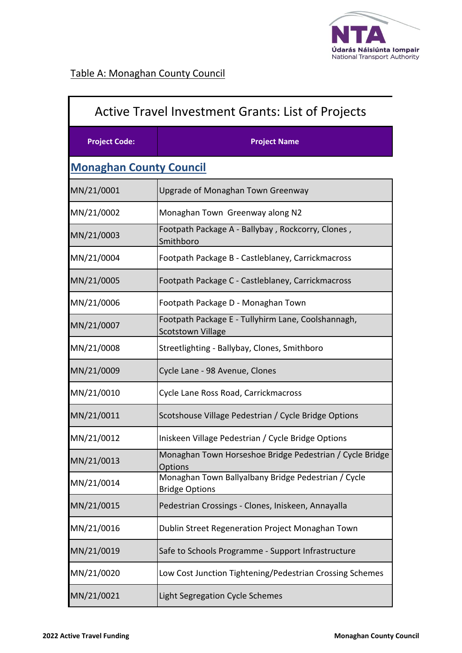

| <b>Active Travel Investment Grants: List of Projects</b> |                                                                                |
|----------------------------------------------------------|--------------------------------------------------------------------------------|
| <b>Project Code:</b>                                     | <b>Project Name</b>                                                            |
| <b>Monaghan County Council</b>                           |                                                                                |
| MN/21/0001                                               | Upgrade of Monaghan Town Greenway                                              |
| MN/21/0002                                               | Monaghan Town Greenway along N2                                                |
| MN/21/0003                                               | Footpath Package A - Ballybay, Rockcorry, Clones,<br>Smithboro                 |
| MN/21/0004                                               | Footpath Package B - Castleblaney, Carrickmacross                              |
| MN/21/0005                                               | Footpath Package C - Castleblaney, Carrickmacross                              |
| MN/21/0006                                               | Footpath Package D - Monaghan Town                                             |
| MN/21/0007                                               | Footpath Package E - Tullyhirm Lane, Coolshannagh,<br><b>Scotstown Village</b> |
| MN/21/0008                                               | Streetlighting - Ballybay, Clones, Smithboro                                   |
| MN/21/0009                                               | Cycle Lane - 98 Avenue, Clones                                                 |
| MN/21/0010                                               | Cycle Lane Ross Road, Carrickmacross                                           |
| MN/21/0011                                               | Scotshouse Village Pedestrian / Cycle Bridge Options                           |
| MN/21/0012                                               | Iniskeen Village Pedestrian / Cycle Bridge Options                             |
| MN/21/0013                                               | Monaghan Town Horseshoe Bridge Pedestrian / Cycle Bridge<br><b>Options</b>     |
| MN/21/0014                                               | Monaghan Town Ballyalbany Bridge Pedestrian / Cycle<br><b>Bridge Options</b>   |
| MN/21/0015                                               | Pedestrian Crossings - Clones, Iniskeen, Annayalla                             |
| MN/21/0016                                               | Dublin Street Regeneration Project Monaghan Town                               |
| MN/21/0019                                               | Safe to Schools Programme - Support Infrastructure                             |
| MN/21/0020                                               | Low Cost Junction Tightening/Pedestrian Crossing Schemes                       |
| MN/21/0021                                               | Light Segregation Cycle Schemes                                                |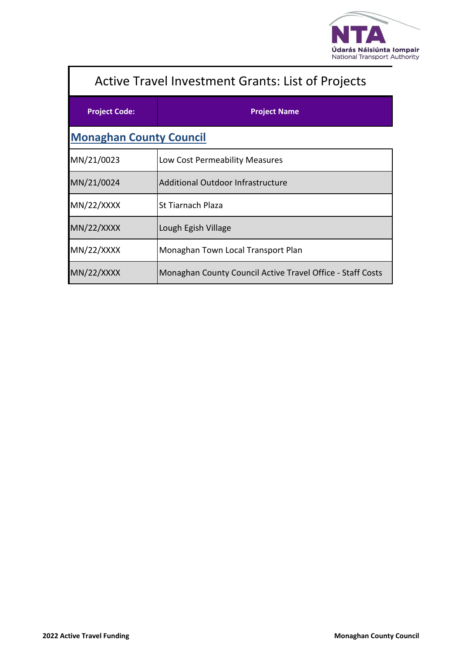

| <b>Active Travel Investment Grants: List of Projects</b> |                                                            |  |
|----------------------------------------------------------|------------------------------------------------------------|--|
| <b>Project Code:</b>                                     | <b>Project Name</b>                                        |  |
| <b>Monaghan County Council</b>                           |                                                            |  |
| MN/21/0023                                               | Low Cost Permeability Measures                             |  |
| MN/21/0024                                               | <b>Additional Outdoor Infrastructure</b>                   |  |
| MN/22/XXXX                                               | St Tiarnach Plaza                                          |  |
| MN/22/XXXX                                               | Lough Egish Village                                        |  |
| MN/22/XXXX                                               | Monaghan Town Local Transport Plan                         |  |
| MN/22/XXXX                                               | Monaghan County Council Active Travel Office - Staff Costs |  |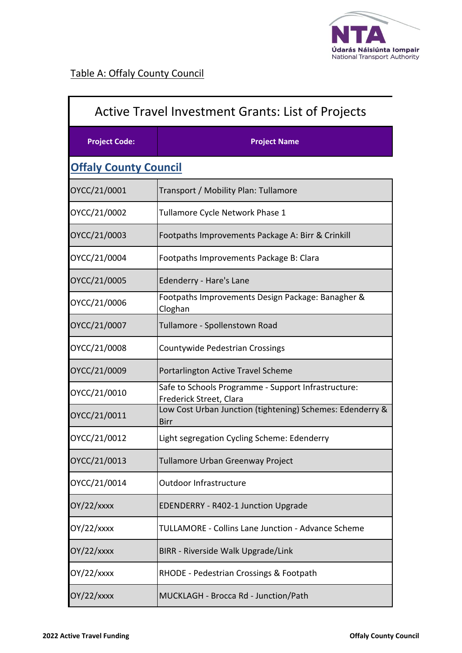

| Active Travel Investment Grants: List of Projects |                                                                                |
|---------------------------------------------------|--------------------------------------------------------------------------------|
| <b>Project Code:</b>                              | <b>Project Name</b>                                                            |
| <b>Offaly County Council</b>                      |                                                                                |
| OYCC/21/0001                                      | Transport / Mobility Plan: Tullamore                                           |
| OYCC/21/0002                                      | Tullamore Cycle Network Phase 1                                                |
| OYCC/21/0003                                      | Footpaths Improvements Package A: Birr & Crinkill                              |
| OYCC/21/0004                                      | Footpaths Improvements Package B: Clara                                        |
| OYCC/21/0005                                      | Edenderry - Hare's Lane                                                        |
| OYCC/21/0006                                      | Footpaths Improvements Design Package: Banagher &<br>Cloghan                   |
| OYCC/21/0007                                      | Tullamore - Spollenstown Road                                                  |
| OYCC/21/0008                                      | Countywide Pedestrian Crossings                                                |
| OYCC/21/0009                                      | Portarlington Active Travel Scheme                                             |
| OYCC/21/0010                                      | Safe to Schools Programme - Support Infrastructure:<br>Frederick Street, Clara |
| OYCC/21/0011                                      | Low Cost Urban Junction (tightening) Schemes: Edenderry &<br>Birr              |
| OYCC/21/0012                                      | Light segregation Cycling Scheme: Edenderry                                    |
| OYCC/21/0013                                      | Tullamore Urban Greenway Project                                               |
| OYCC/21/0014                                      | Outdoor Infrastructure                                                         |
| $OY/22/x$ xxx                                     | EDENDERRY - R402-1 Junction Upgrade                                            |
| OY/22/xxxx                                        | TULLAMORE - Collins Lane Junction - Advance Scheme                             |
| OY/22/xxxx                                        | BIRR - Riverside Walk Upgrade/Link                                             |
| OY/22/xxxx                                        | RHODE - Pedestrian Crossings & Footpath                                        |
| OY/22/xxxx                                        | MUCKLAGH - Brocca Rd - Junction/Path                                           |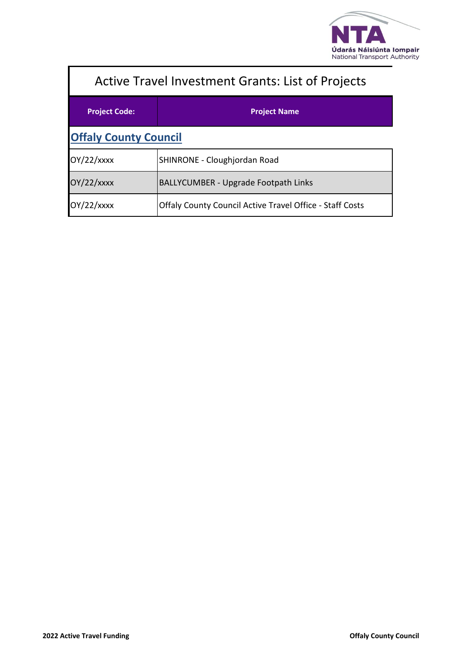

| <b>Active Travel Investment Grants: List of Projects</b> |                                                                 |  |
|----------------------------------------------------------|-----------------------------------------------------------------|--|
| <b>Project Code:</b>                                     | <b>Project Name</b>                                             |  |
| <b>Offaly County Council</b>                             |                                                                 |  |
| $OY/22/x$ xxx                                            | SHINRONE - Cloughjordan Road                                    |  |
| $OY/22/x$ xxx                                            | <b>BALLYCUMBER - Upgrade Footpath Links</b>                     |  |
| OY/22/xxxx                                               | <b>Offaly County Council Active Travel Office - Staff Costs</b> |  |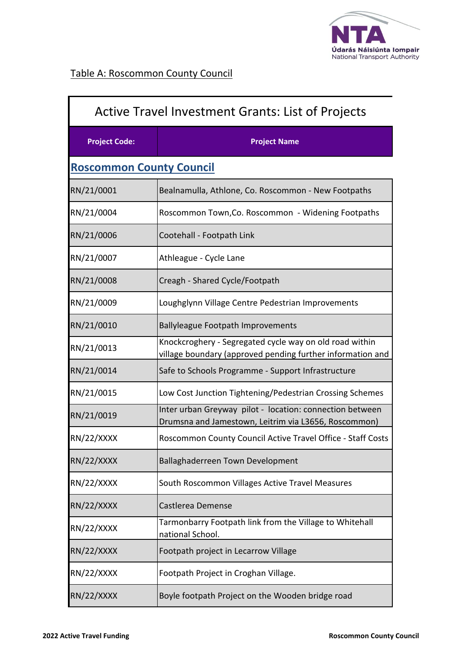

I

| <b>Active Travel Investment Grants: List of Projects</b> |                                                                                                                       |
|----------------------------------------------------------|-----------------------------------------------------------------------------------------------------------------------|
| <b>Project Code:</b>                                     | <b>Project Name</b>                                                                                                   |
| <b>Roscommon County Council</b>                          |                                                                                                                       |
| RN/21/0001                                               | Bealnamulla, Athlone, Co. Roscommon - New Footpaths                                                                   |
| RN/21/0004                                               | Roscommon Town, Co. Roscommon - Widening Footpaths                                                                    |
| RN/21/0006                                               | Cootehall - Footpath Link                                                                                             |
| RN/21/0007                                               | Athleague - Cycle Lane                                                                                                |
| RN/21/0008                                               | Creagh - Shared Cycle/Footpath                                                                                        |
| RN/21/0009                                               | Loughglynn Village Centre Pedestrian Improvements                                                                     |
| RN/21/0010                                               | <b>Ballyleague Footpath Improvements</b>                                                                              |
| RN/21/0013                                               | Knockcroghery - Segregated cycle way on old road within<br>village boundary (approved pending further information and |
| RN/21/0014                                               | Safe to Schools Programme - Support Infrastructure                                                                    |
| RN/21/0015                                               | Low Cost Junction Tightening/Pedestrian Crossing Schemes                                                              |
| RN/21/0019                                               | Inter urban Greyway pilot - location: connection between<br>Drumsna and Jamestown, Leitrim via L3656, Roscommon)      |
| RN/22/XXXX                                               | Roscommon County Council Active Travel Office - Staff Costs                                                           |
| RN/22/XXXX                                               | Ballaghaderreen Town Development                                                                                      |
| RN/22/XXXX                                               | South Roscommon Villages Active Travel Measures                                                                       |
| RN/22/XXXX                                               | Castlerea Demense                                                                                                     |
| RN/22/XXXX                                               | Tarmonbarry Footpath link from the Village to Whitehall<br>national School.                                           |
| RN/22/XXXX                                               | Footpath project in Lecarrow Village                                                                                  |
| RN/22/XXXX                                               | Footpath Project in Croghan Village.                                                                                  |
| RN/22/XXXX                                               | Boyle footpath Project on the Wooden bridge road                                                                      |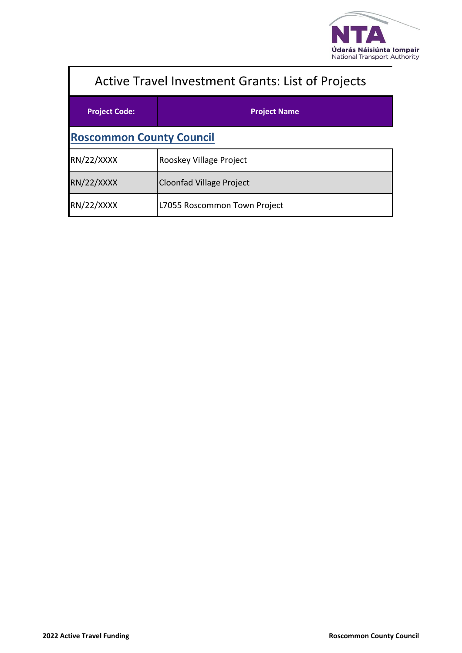

| <b>Active Travel Investment Grants: List of Projects</b> |                              |  |
|----------------------------------------------------------|------------------------------|--|
| <b>Project Code:</b>                                     | <b>Project Name</b>          |  |
| <b>Roscommon County Council</b>                          |                              |  |
| RN/22/XXXX                                               | Rooskey Village Project      |  |
| RN/22/XXXX                                               | Cloonfad Village Project     |  |
| RN/22/XXXX                                               | L7055 Roscommon Town Project |  |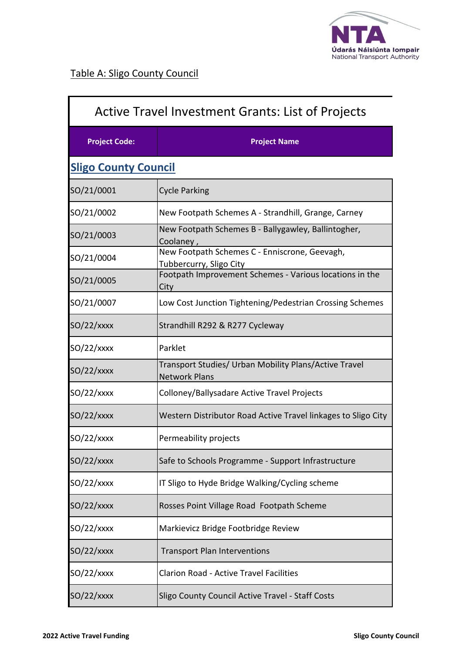

I

| <b>Active Travel Investment Grants: List of Projects</b> |                                                                               |
|----------------------------------------------------------|-------------------------------------------------------------------------------|
| <b>Project Code:</b>                                     | <b>Project Name</b>                                                           |
| <b>Sligo County Council</b>                              |                                                                               |
| SO/21/0001                                               | <b>Cycle Parking</b>                                                          |
| SO/21/0002                                               | New Footpath Schemes A - Strandhill, Grange, Carney                           |
| SO/21/0003                                               | New Footpath Schemes B - Ballygawley, Ballintogher,<br>Coolaney,              |
| SO/21/0004                                               | New Footpath Schemes C - Enniscrone, Geevagh,<br>Tubbercurry, Sligo City      |
| SO/21/0005                                               | Footpath Improvement Schemes - Various locations in the<br>City               |
| SO/21/0007                                               | Low Cost Junction Tightening/Pedestrian Crossing Schemes                      |
| $SO/22/x$ xxx                                            | Strandhill R292 & R277 Cycleway                                               |
| $SO/22/x$ xxx                                            | Parklet                                                                       |
| $SO/22/x$ xxx                                            | Transport Studies/ Urban Mobility Plans/Active Travel<br><b>Network Plans</b> |
| $SO/22/x$ xxx                                            | Colloney/Ballysadare Active Travel Projects                                   |
| $SO/22/x$ xxx                                            | Western Distributor Road Active Travel linkages to Sligo City                 |
| $SO/22/x$ xxx                                            | Permeability projects                                                         |
| $SO/22/x$ xxx                                            | Safe to Schools Programme - Support Infrastructure                            |
| $SO/22/x$ xxx                                            | IT Sligo to Hyde Bridge Walking/Cycling scheme                                |
| $SO/22/x$ xxx                                            | Rosses Point Village Road Footpath Scheme                                     |
| $SO/22/x$ xxx                                            | Markievicz Bridge Footbridge Review                                           |
| $SO/22/x$ xxx                                            | <b>Transport Plan Interventions</b>                                           |
| $SO/22/x$ xxx                                            | <b>Clarion Road - Active Travel Facilities</b>                                |
| $SO/22/x$ xxx                                            | Sligo County Council Active Travel - Staff Costs                              |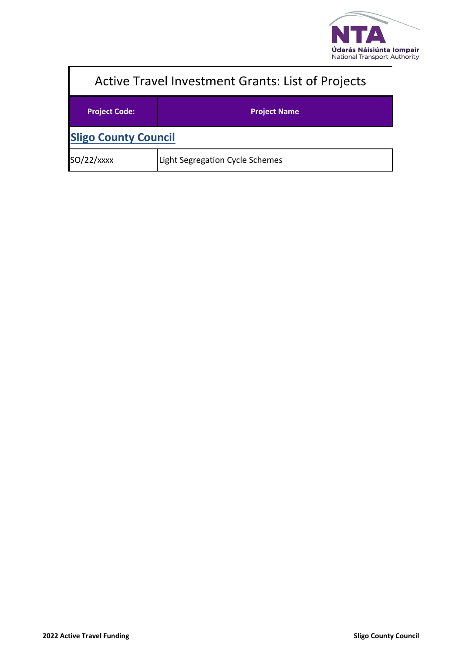

| <b>Active Travel Investment Grants: List of Projects</b> |                                 |
|----------------------------------------------------------|---------------------------------|
| <b>Project Code:</b>                                     | <b>Project Name</b>             |
| <b>Sligo County Council</b>                              |                                 |
| $SO/22/x$ xxx                                            | Light Segregation Cycle Schemes |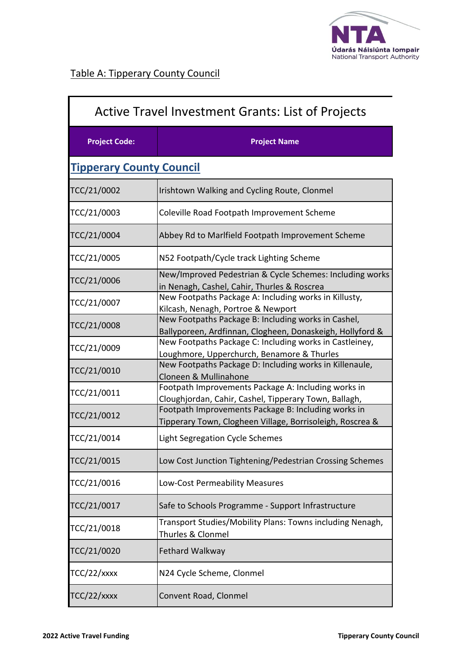

| <b>Active Travel Investment Grants: List of Projects</b> |                                                                                                                  |
|----------------------------------------------------------|------------------------------------------------------------------------------------------------------------------|
| <b>Project Code:</b>                                     | <b>Project Name</b>                                                                                              |
| <b>Tipperary County Council</b>                          |                                                                                                                  |
| TCC/21/0002                                              | Irishtown Walking and Cycling Route, Clonmel                                                                     |
| TCC/21/0003                                              | Coleville Road Footpath Improvement Scheme                                                                       |
| TCC/21/0004                                              | Abbey Rd to Marlfield Footpath Improvement Scheme                                                                |
| TCC/21/0005                                              | N52 Footpath/Cycle track Lighting Scheme                                                                         |
| TCC/21/0006                                              | New/Improved Pedestrian & Cycle Schemes: Including works<br>in Nenagh, Cashel, Cahir, Thurles & Roscrea          |
| TCC/21/0007                                              | New Footpaths Package A: Including works in Killusty,<br>Kilcash, Nenagh, Portroe & Newport                      |
| TCC/21/0008                                              | New Footpaths Package B: Including works in Cashel,<br>Ballyporeen, Ardfinnan, Clogheen, Donaskeigh, Hollyford & |
| TCC/21/0009                                              | New Footpaths Package C: Including works in Castleiney,<br>Loughmore, Upperchurch, Benamore & Thurles            |
| TCC/21/0010                                              | New Footpaths Package D: Including works in Killenaule,<br>Cloneen & Mullinahone                                 |
| TCC/21/0011                                              | Footpath Improvements Package A: Including works in<br>Cloughjordan, Cahir, Cashel, Tipperary Town, Ballagh,     |
| TCC/21/0012                                              | Footpath Improvements Package B: Including works in<br>Tipperary Town, Clogheen Village, Borrisoleigh, Roscrea & |
| TCC/21/0014                                              | Light Segregation Cycle Schemes                                                                                  |
| TCC/21/0015                                              | Low Cost Junction Tightening/Pedestrian Crossing Schemes                                                         |
| TCC/21/0016                                              | Low-Cost Permeability Measures                                                                                   |
| TCC/21/0017                                              | Safe to Schools Programme - Support Infrastructure                                                               |
| TCC/21/0018                                              | Transport Studies/Mobility Plans: Towns including Nenagh,<br>Thurles & Clonmel                                   |
| TCC/21/0020                                              | Fethard Walkway                                                                                                  |
| TCC/22/xxxx                                              | N24 Cycle Scheme, Clonmel                                                                                        |
| TCC/22/xxxx                                              | Convent Road, Clonmel                                                                                            |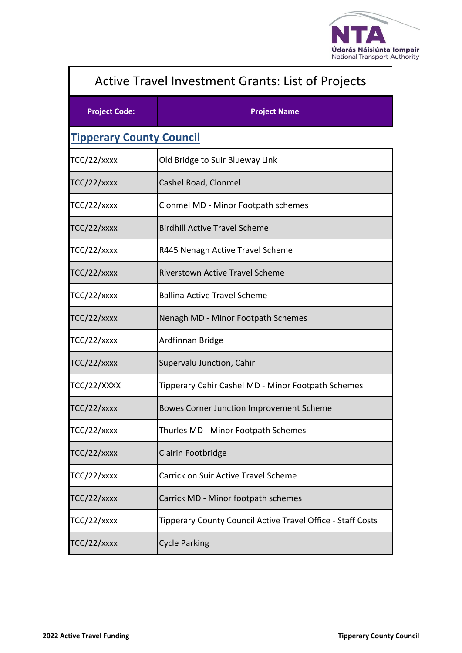

| Active Travel Investment Grants: List of Projects |                                                             |  |
|---------------------------------------------------|-------------------------------------------------------------|--|
| <b>Project Code:</b>                              | <b>Project Name</b>                                         |  |
| <b>Tipperary County Council</b>                   |                                                             |  |
| TCC/22/xxxx                                       | Old Bridge to Suir Blueway Link                             |  |
| $TCC/22/x$ xxx                                    | Cashel Road, Clonmel                                        |  |
| $TCC/22/x$ xxx                                    | Clonmel MD - Minor Footpath schemes                         |  |
| $TCC/22/x$ xxx                                    | <b>Birdhill Active Travel Scheme</b>                        |  |
| $TCC/22/x$ xxx                                    | R445 Nenagh Active Travel Scheme                            |  |
| TCC/22/xxxx                                       | <b>Riverstown Active Travel Scheme</b>                      |  |
| TCC/22/xxxx                                       | <b>Ballina Active Travel Scheme</b>                         |  |
| $TCC/22/x$ xxx                                    | Nenagh MD - Minor Footpath Schemes                          |  |
| $TCC/22/x$ xxx                                    | Ardfinnan Bridge                                            |  |
| $TCC/22/x$ xxx                                    | Supervalu Junction, Cahir                                   |  |
| TCC/22/XXXX                                       | Tipperary Cahir Cashel MD - Minor Footpath Schemes          |  |
| TCC/22/xxxx                                       | Bowes Corner Junction Improvement Scheme                    |  |
| $TCC/22/x$ xxx                                    | Thurles MD - Minor Footpath Schemes                         |  |
| TCC/22/xxxx                                       | Clairin Footbridge                                          |  |
| $TCC/22/x$ xxx                                    | <b>Carrick on Suir Active Travel Scheme</b>                 |  |
| $TCC/22/x$ xxx                                    | Carrick MD - Minor footpath schemes                         |  |
| $TCC/22/x$ xxx                                    | Tipperary County Council Active Travel Office - Staff Costs |  |
| $TCC/22/x$ xxx                                    | <b>Cycle Parking</b>                                        |  |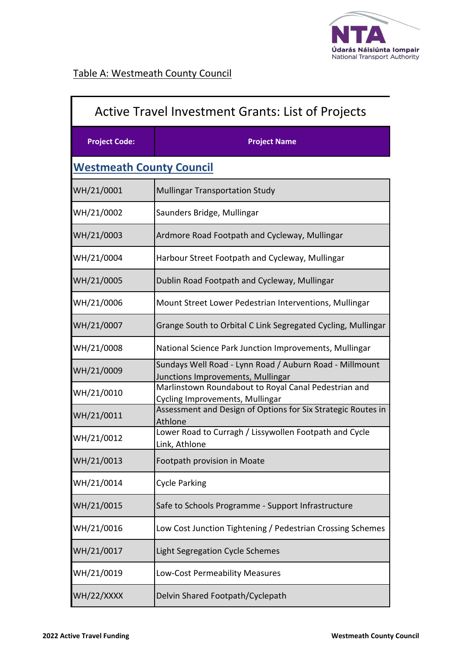

| <b>Active Travel Investment Grants: List of Projects</b> |                                                                                              |
|----------------------------------------------------------|----------------------------------------------------------------------------------------------|
| <b>Project Code:</b>                                     | <b>Project Name</b>                                                                          |
| <b>Westmeath County Council</b>                          |                                                                                              |
| WH/21/0001                                               | <b>Mullingar Transportation Study</b>                                                        |
| WH/21/0002                                               | Saunders Bridge, Mullingar                                                                   |
| WH/21/0003                                               | Ardmore Road Footpath and Cycleway, Mullingar                                                |
| WH/21/0004                                               | Harbour Street Footpath and Cycleway, Mullingar                                              |
| WH/21/0005                                               | Dublin Road Footpath and Cycleway, Mullingar                                                 |
| WH/21/0006                                               | Mount Street Lower Pedestrian Interventions, Mullingar                                       |
| WH/21/0007                                               | Grange South to Orbital C Link Segregated Cycling, Mullingar                                 |
| WH/21/0008                                               | National Science Park Junction Improvements, Mullingar                                       |
| WH/21/0009                                               | Sundays Well Road - Lynn Road / Auburn Road - Millmount<br>Junctions Improvements, Mullingar |
| WH/21/0010                                               | Marlinstown Roundabout to Royal Canal Pedestrian and<br>Cycling Improvements, Mullingar      |
| WH/21/0011                                               | Assessment and Design of Options for Six Strategic Routes in<br>Athlone                      |
| WH/21/0012                                               | Lower Road to Curragh / Lissywollen Footpath and Cycle<br>Link, Athlone                      |
| WH/21/0013                                               | Footpath provision in Moate                                                                  |
| WH/21/0014                                               | <b>Cycle Parking</b>                                                                         |
| WH/21/0015                                               | Safe to Schools Programme - Support Infrastructure                                           |
| WH/21/0016                                               | Low Cost Junction Tightening / Pedestrian Crossing Schemes                                   |
| WH/21/0017                                               | Light Segregation Cycle Schemes                                                              |
| WH/21/0019                                               | Low-Cost Permeability Measures                                                               |
| WH/22/XXXX                                               | Delvin Shared Footpath/Cyclepath                                                             |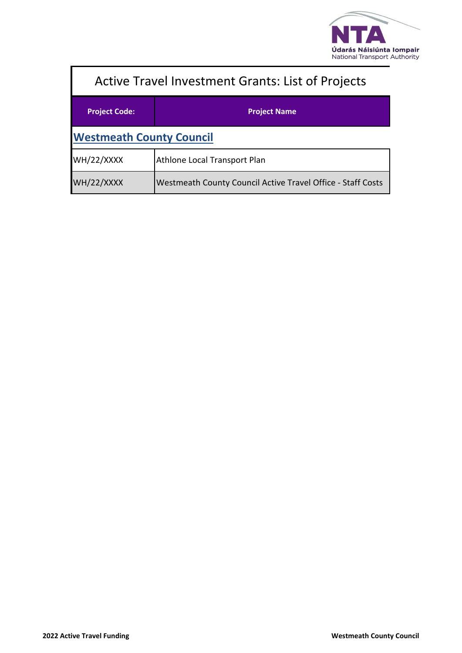

| <b>Active Travel Investment Grants: List of Projects</b> |                                                             |  |
|----------------------------------------------------------|-------------------------------------------------------------|--|
| <b>Project Code:</b>                                     | <b>Project Name</b>                                         |  |
| <b>Westmeath County Council</b>                          |                                                             |  |
| WH/22/XXXX                                               | Athlone Local Transport Plan                                |  |
| WH/22/XXXX                                               | Westmeath County Council Active Travel Office - Staff Costs |  |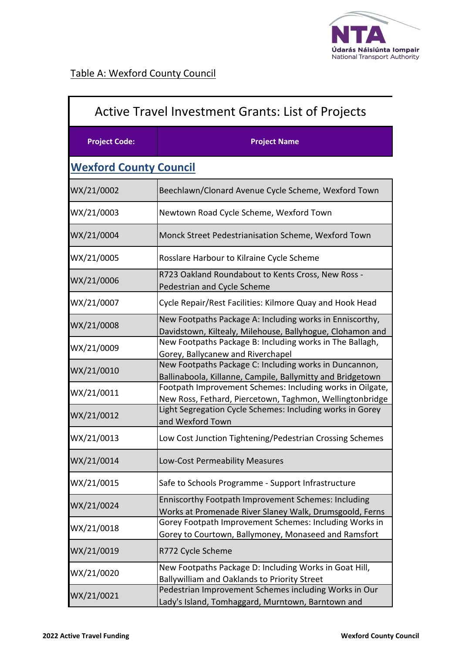

| <b>Active Travel Investment Grants: List of Projects</b> |                                                                                                                       |
|----------------------------------------------------------|-----------------------------------------------------------------------------------------------------------------------|
| <b>Project Code:</b>                                     | <b>Project Name</b>                                                                                                   |
| <b>Wexford County Council</b>                            |                                                                                                                       |
| WX/21/0002                                               | Beechlawn/Clonard Avenue Cycle Scheme, Wexford Town                                                                   |
| WX/21/0003                                               | Newtown Road Cycle Scheme, Wexford Town                                                                               |
| WX/21/0004                                               | Monck Street Pedestrianisation Scheme, Wexford Town                                                                   |
| WX/21/0005                                               | Rosslare Harbour to Kilraine Cycle Scheme                                                                             |
| WX/21/0006                                               | R723 Oakland Roundabout to Kents Cross, New Ross -<br>Pedestrian and Cycle Scheme                                     |
| WX/21/0007                                               | Cycle Repair/Rest Facilities: Kilmore Quay and Hook Head                                                              |
| WX/21/0008                                               | New Footpaths Package A: Including works in Enniscorthy,<br>Davidstown, Kiltealy, Milehouse, Ballyhogue, Clohamon and |
| WX/21/0009                                               | New Footpaths Package B: Including works in The Ballagh,<br>Gorey, Ballycanew and Riverchapel                         |
| WX/21/0010                                               | New Footpaths Package C: Including works in Duncannon,<br>Ballinaboola, Killanne, Campile, Ballymitty and Bridgetown  |
| WX/21/0011                                               | Footpath Improvement Schemes: Including works in Oilgate,<br>New Ross, Fethard, Piercetown, Taghmon, Wellingtonbridge |
| WX/21/0012                                               | Light Segregation Cycle Schemes: Including works in Gorey<br>and Wexford Town                                         |
| WX/21/0013                                               | Low Cost Junction Tightening/Pedestrian Crossing Schemes                                                              |
| WX/21/0014                                               | Low-Cost Permeability Measures                                                                                        |
| WX/21/0015                                               | Safe to Schools Programme - Support Infrastructure                                                                    |
| WX/21/0024                                               | Enniscorthy Footpath Improvement Schemes: Including<br>Works at Promenade River Slaney Walk, Drumsgoold, Ferns        |
| WX/21/0018                                               | Gorey Footpath Improvement Schemes: Including Works in<br>Gorey to Courtown, Ballymoney, Monaseed and Ramsfort        |
| WX/21/0019                                               | R772 Cycle Scheme                                                                                                     |
| WX/21/0020                                               | New Footpaths Package D: Including Works in Goat Hill,<br>Ballywilliam and Oaklands to Priority Street                |
| WX/21/0021                                               | Pedestrian Improvement Schemes including Works in Our<br>Lady's Island, Tomhaggard, Murntown, Barntown and            |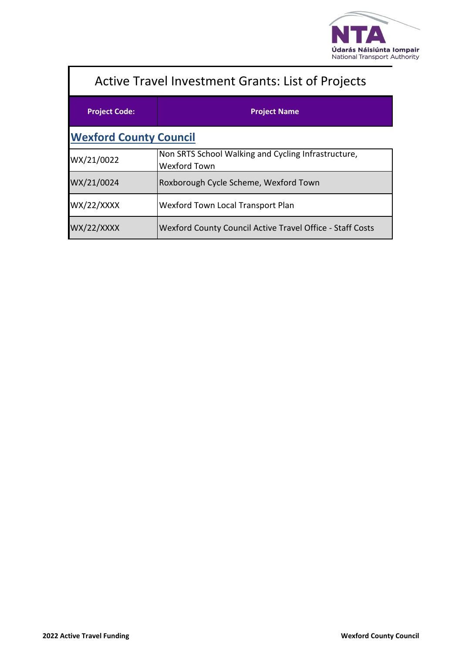

| <b>Active Travel Investment Grants: List of Projects</b> |                                                                            |  |
|----------------------------------------------------------|----------------------------------------------------------------------------|--|
| <b>Project Code:</b>                                     | <b>Project Name</b>                                                        |  |
| <b>Wexford County Council</b>                            |                                                                            |  |
| WX/21/0022                                               | Non SRTS School Walking and Cycling Infrastructure,<br><b>Wexford Town</b> |  |
| WX/21/0024                                               | Roxborough Cycle Scheme, Wexford Town                                      |  |
| WX/22/XXXX                                               | Wexford Town Local Transport Plan                                          |  |
| <b>WX/22/XXXX</b>                                        | Wexford County Council Active Travel Office - Staff Costs                  |  |